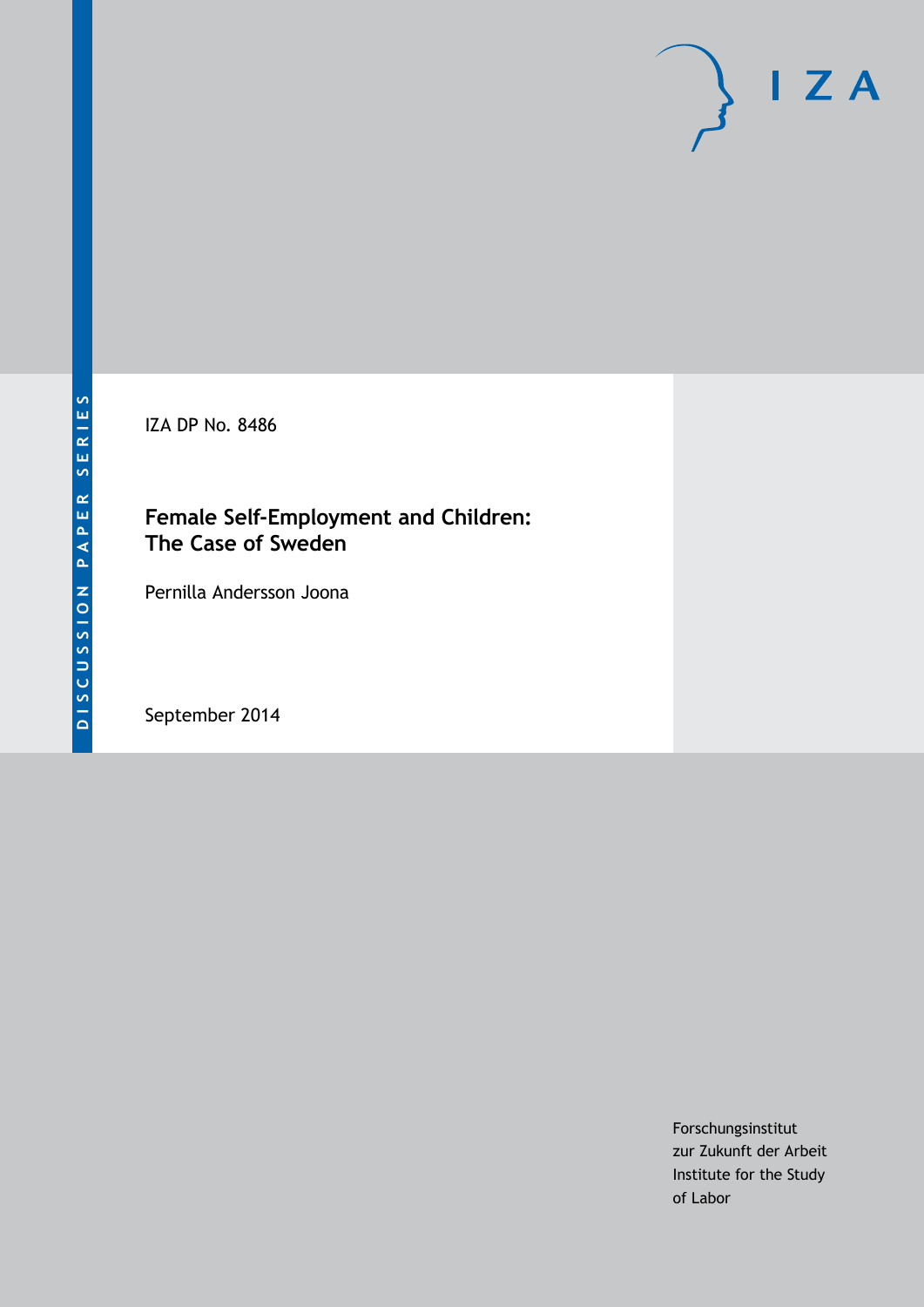IZA DP No. 8486

## **Female Self-Employment and Children: The Case of Sweden**

Pernilla Andersson Joona

September 2014

Forschungsinstitut zur Zukunft der Arbeit Institute for the Study of Labor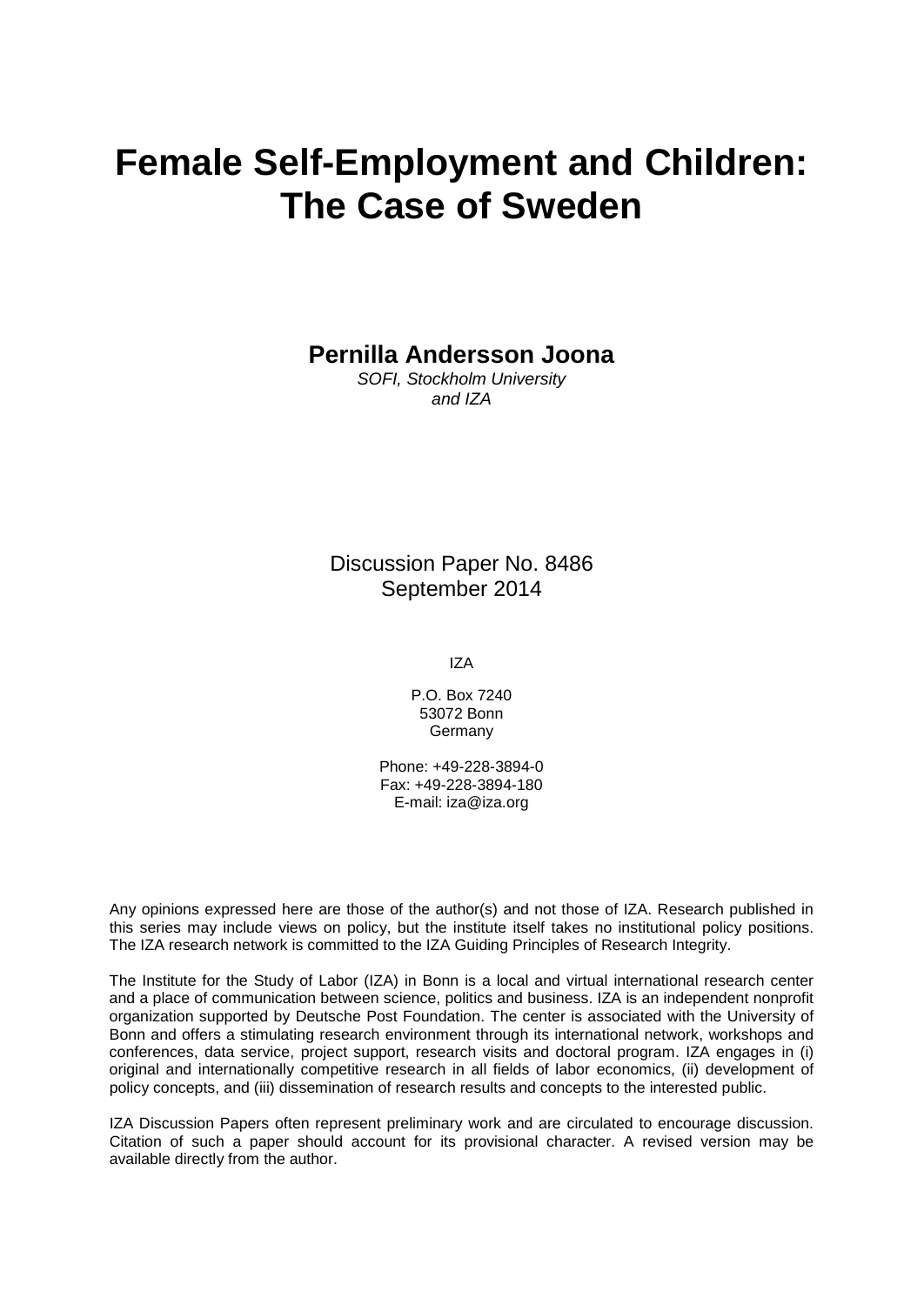# **Female Self-Employment and Children: The Case of Sweden**

**Pernilla Andersson Joona**

*SOFI, Stockholm University and IZA*

Discussion Paper No. 8486 September 2014

IZA

P.O. Box 7240 53072 Bonn **Germany** 

Phone: +49-228-3894-0 Fax: +49-228-3894-180 E-mail: [iza@iza.org](mailto:iza@iza.org)

Any opinions expressed here are those of the author(s) and not those of IZA. Research published in this series may include views on policy, but the institute itself takes no institutional policy positions. The IZA research network is committed to the IZA Guiding Principles of Research Integrity.

The Institute for the Study of Labor (IZA) in Bonn is a local and virtual international research center and a place of communication between science, politics and business. IZA is an independent nonprofit organization supported by Deutsche Post Foundation. The center is associated with the University of Bonn and offers a stimulating research environment through its international network, workshops and conferences, data service, project support, research visits and doctoral program. IZA engages in (i) original and internationally competitive research in all fields of labor economics, (ii) development of policy concepts, and (iii) dissemination of research results and concepts to the interested public.

<span id="page-1-0"></span>IZA Discussion Papers often represent preliminary work and are circulated to encourage discussion. Citation of such a paper should account for its provisional character. A revised version may be available directly from the author.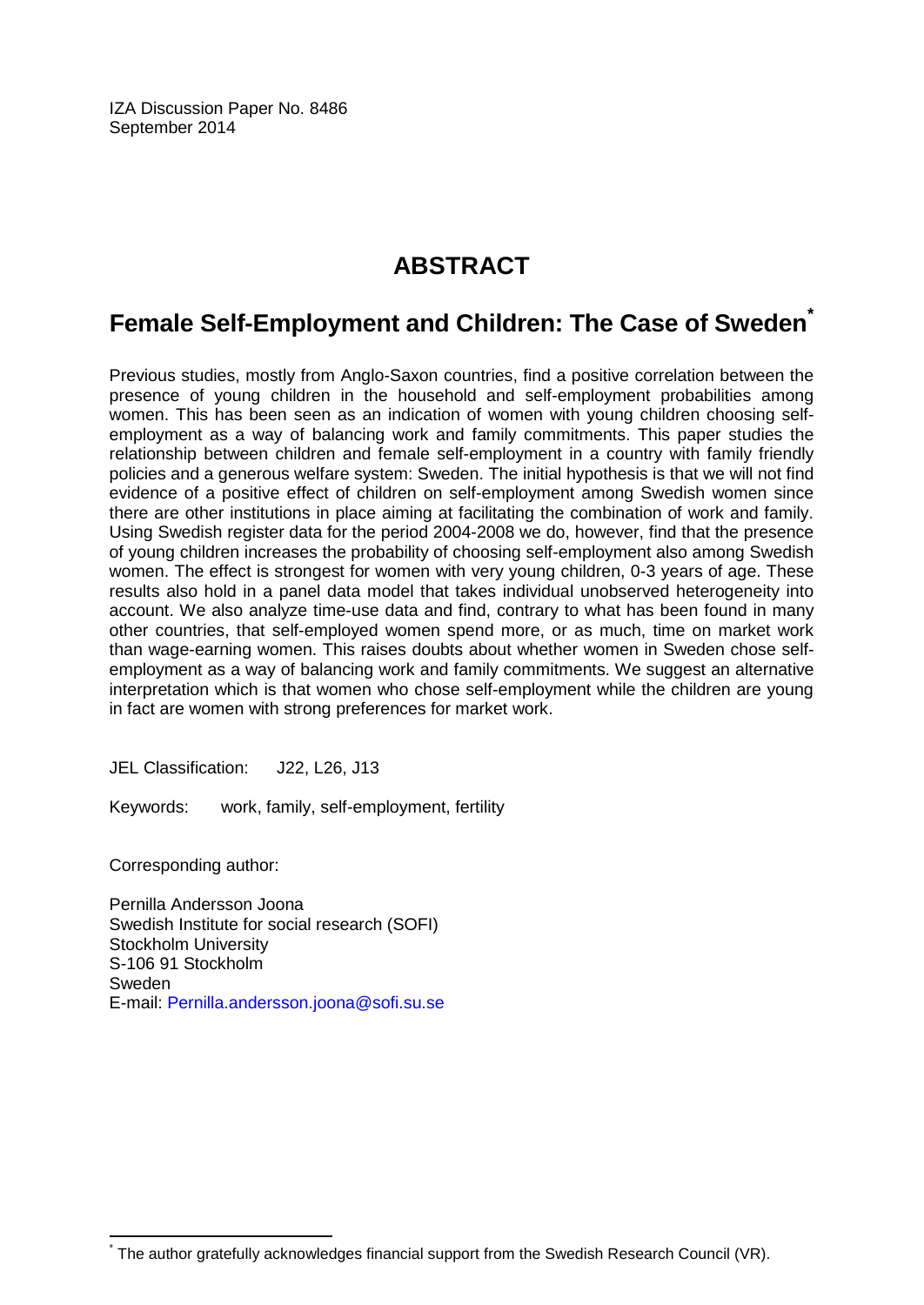IZA Discussion Paper No. 8486 September 2014

## **ABSTRACT**

## **Female Self-Employment and Children: The Case of Sweden[\\*](#page-1-0)**

Previous studies, mostly from Anglo-Saxon countries, find a positive correlation between the presence of young children in the household and self-employment probabilities among women. This has been seen as an indication of women with young children choosing selfemployment as a way of balancing work and family commitments. This paper studies the relationship between children and female self-employment in a country with family friendly policies and a generous welfare system: Sweden. The initial hypothesis is that we will not find evidence of a positive effect of children on self-employment among Swedish women since there are other institutions in place aiming at facilitating the combination of work and family. Using Swedish register data for the period 2004-2008 we do, however, find that the presence of young children increases the probability of choosing self-employment also among Swedish women. The effect is strongest for women with very young children, 0-3 years of age. These results also hold in a panel data model that takes individual unobserved heterogeneity into account. We also analyze time-use data and find, contrary to what has been found in many other countries, that self-employed women spend more, or as much, time on market work than wage-earning women. This raises doubts about whether women in Sweden chose selfemployment as a way of balancing work and family commitments. We suggest an alternative interpretation which is that women who chose self-employment while the children are young in fact are women with strong preferences for market work.

JEL Classification: J22, L26, J13

Keywords: work, family, self-employment, fertility

Corresponding author:

Pernilla Andersson Joona Swedish Institute for social research (SOFI) Stockholm University S-106 91 Stockholm Sweden E-mail: [Pernilla.andersson.joona@sofi.su.se](mailto:Pernilla.andersson.joona@sofi.su.se)

The author gratefully acknowledges financial support from the Swedish Research Council (VR).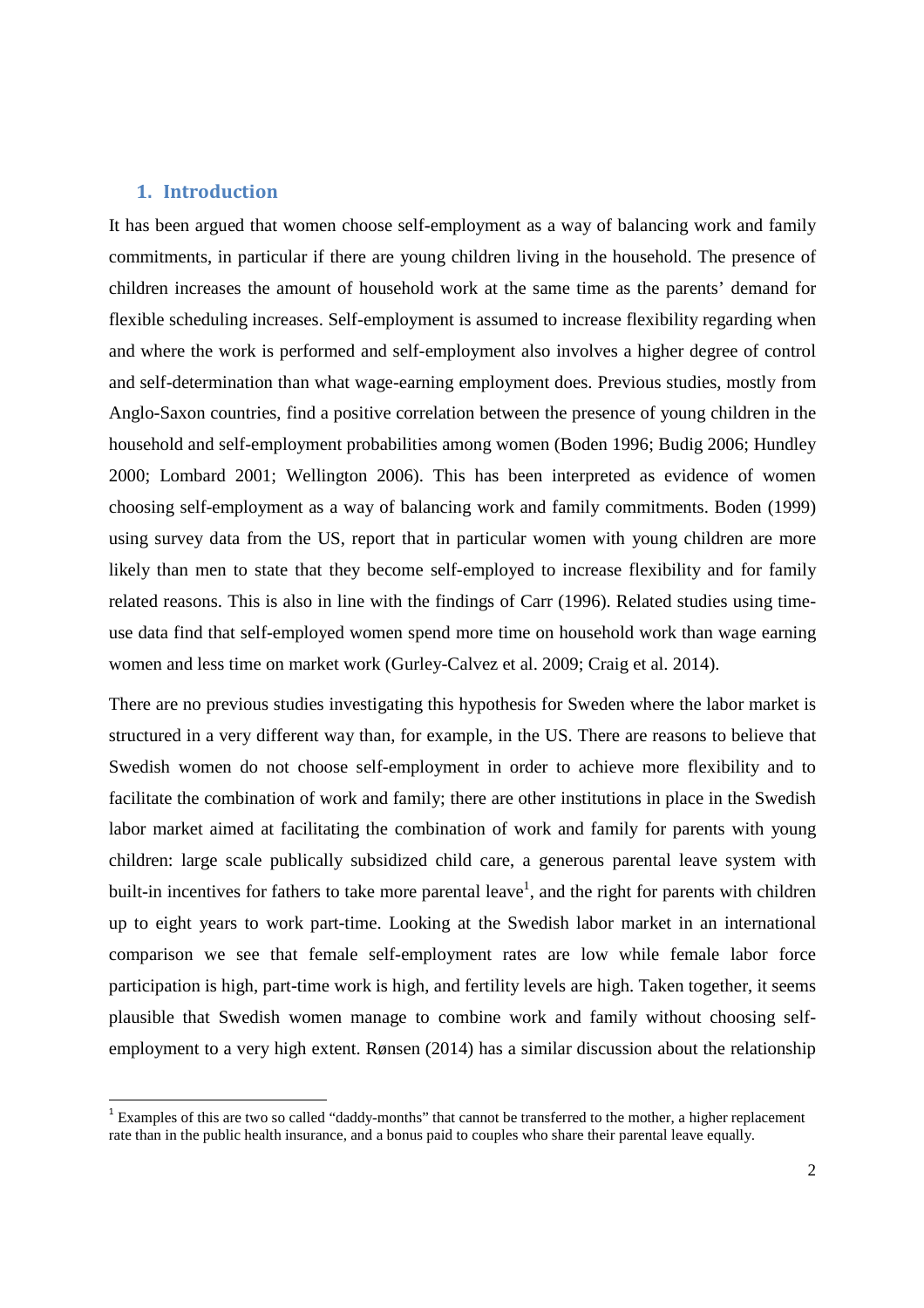#### **1. Introduction**

<u>.</u>

It has been argued that women choose self-employment as a way of balancing work and family commitments, in particular if there are young children living in the household. The presence of children increases the amount of household work at the same time as the parents' demand for flexible scheduling increases. Self-employment is assumed to increase flexibility regarding when and where the work is performed and self-employment also involves a higher degree of control and self-determination than what wage-earning employment does. Previous studies, mostly from Anglo-Saxon countries, find a positive correlation between the presence of young children in the household and self-employment probabilities among women (Boden 1996; Budig 2006; Hundley 2000; Lombard 2001; Wellington 2006). This has been interpreted as evidence of women choosing self-employment as a way of balancing work and family commitments. Boden (1999) using survey data from the US, report that in particular women with young children are more likely than men to state that they become self-employed to increase flexibility and for family related reasons. This is also in line with the findings of Carr (1996). Related studies using timeuse data find that self-employed women spend more time on household work than wage earning women and less time on market work (Gurley-Calvez et al. 2009; Craig et al. 2014).

There are no previous studies investigating this hypothesis for Sweden where the labor market is structured in a very different way than, for example, in the US. There are reasons to believe that Swedish women do not choose self-employment in order to achieve more flexibility and to facilitate the combination of work and family; there are other institutions in place in the Swedish labor market aimed at facilitating the combination of work and family for parents with young children: large scale publically subsidized child care, a generous parental leave system with built-in incentives for fathers to take more parental leave<sup>1</sup>, and the right for parents with children up to eight years to work part-time. Looking at the Swedish labor market in an international comparison we see that female self-employment rates are low while female labor force participation is high, part-time work is high, and fertility levels are high. Taken together, it seems plausible that Swedish women manage to combine work and family without choosing selfemployment to a very high extent. Rønsen (2014) has a similar discussion about the relationship

<sup>&</sup>lt;sup>1</sup> Examples of this are two so called "daddy-months" that cannot be transferred to the mother, a higher replacement rate than in the public health insurance, and a bonus paid to couples who share their parental leave equally.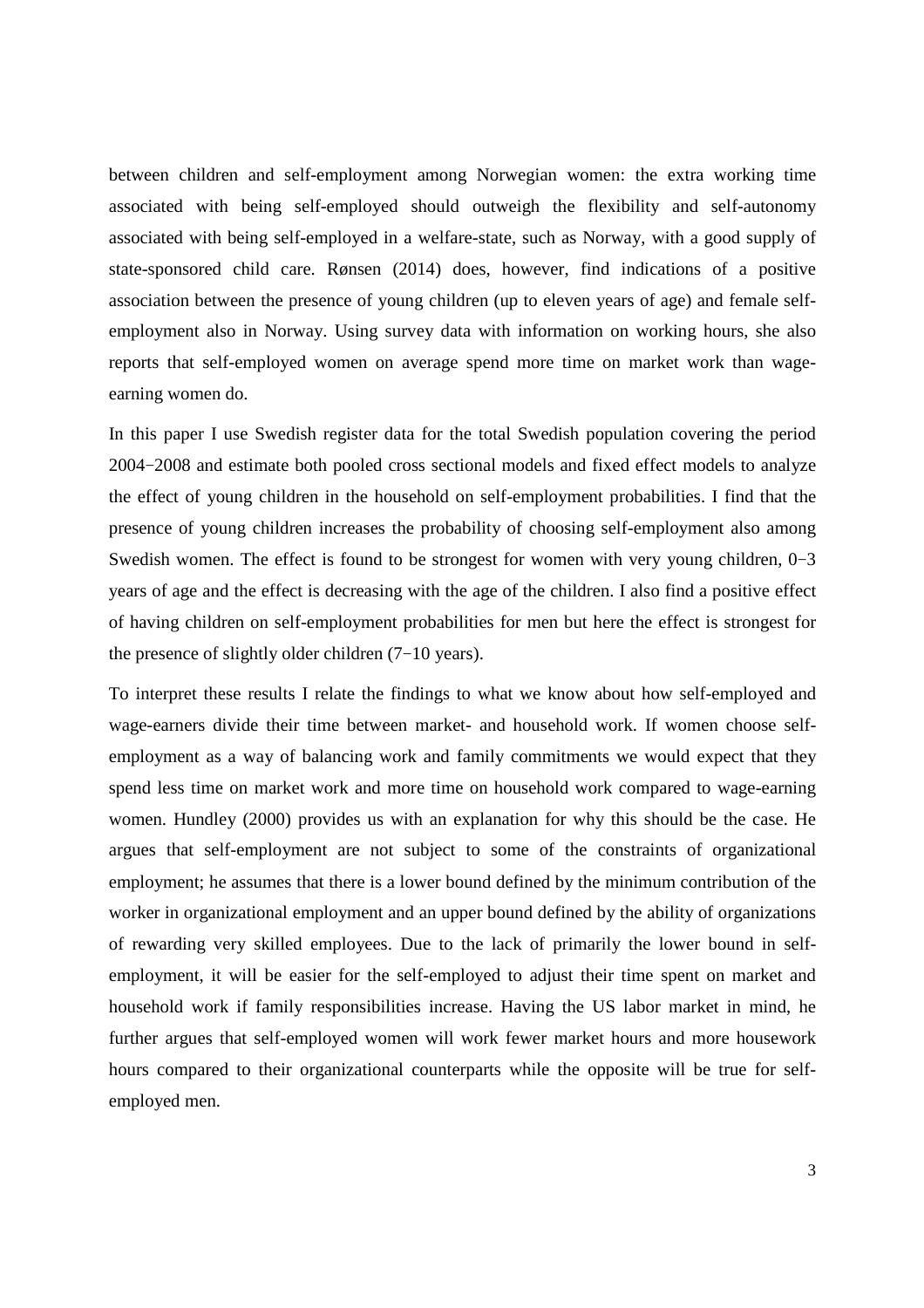between children and self-employment among Norwegian women: the extra working time associated with being self-employed should outweigh the flexibility and self-autonomy associated with being self-employed in a welfare-state, such as Norway, with a good supply of state-sponsored child care. Rønsen (2014) does, however, find indications of a positive association between the presence of young children (up to eleven years of age) and female selfemployment also in Norway. Using survey data with information on working hours, she also reports that self-employed women on average spend more time on market work than wageearning women do.

In this paper I use Swedish register data for the total Swedish population covering the period 2004−2008 and estimate both pooled cross sectional models and fixed effect models to analyze the effect of young children in the household on self-employment probabilities. I find that the presence of young children increases the probability of choosing self-employment also among Swedish women. The effect is found to be strongest for women with very young children, 0−3 years of age and the effect is decreasing with the age of the children. I also find a positive effect of having children on self-employment probabilities for men but here the effect is strongest for the presence of slightly older children (7−10 years).

To interpret these results I relate the findings to what we know about how self-employed and wage-earners divide their time between market- and household work. If women choose selfemployment as a way of balancing work and family commitments we would expect that they spend less time on market work and more time on household work compared to wage-earning women. Hundley (2000) provides us with an explanation for why this should be the case. He argues that self-employment are not subject to some of the constraints of organizational employment; he assumes that there is a lower bound defined by the minimum contribution of the worker in organizational employment and an upper bound defined by the ability of organizations of rewarding very skilled employees. Due to the lack of primarily the lower bound in selfemployment, it will be easier for the self-employed to adjust their time spent on market and household work if family responsibilities increase. Having the US labor market in mind, he further argues that self-employed women will work fewer market hours and more housework hours compared to their organizational counterparts while the opposite will be true for selfemployed men.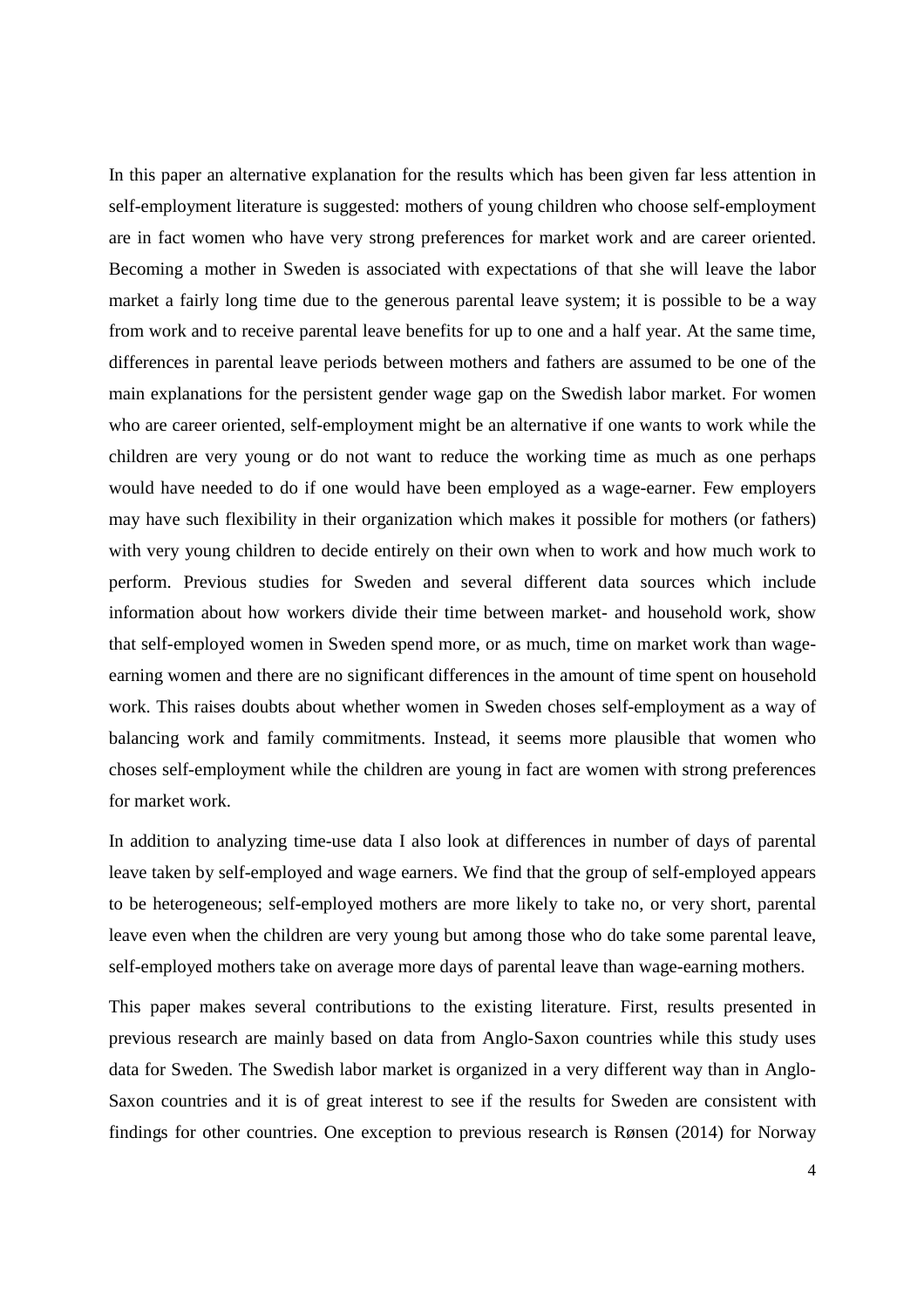In this paper an alternative explanation for the results which has been given far less attention in self-employment literature is suggested: mothers of young children who choose self-employment are in fact women who have very strong preferences for market work and are career oriented. Becoming a mother in Sweden is associated with expectations of that she will leave the labor market a fairly long time due to the generous parental leave system; it is possible to be a way from work and to receive parental leave benefits for up to one and a half year. At the same time, differences in parental leave periods between mothers and fathers are assumed to be one of the main explanations for the persistent gender wage gap on the Swedish labor market. For women who are career oriented, self-employment might be an alternative if one wants to work while the children are very young or do not want to reduce the working time as much as one perhaps would have needed to do if one would have been employed as a wage-earner. Few employers may have such flexibility in their organization which makes it possible for mothers (or fathers) with very young children to decide entirely on their own when to work and how much work to perform. Previous studies for Sweden and several different data sources which include information about how workers divide their time between market- and household work, show that self-employed women in Sweden spend more, or as much, time on market work than wageearning women and there are no significant differences in the amount of time spent on household work. This raises doubts about whether women in Sweden choses self-employment as a way of balancing work and family commitments. Instead, it seems more plausible that women who choses self-employment while the children are young in fact are women with strong preferences for market work.

In addition to analyzing time-use data I also look at differences in number of days of parental leave taken by self-employed and wage earners. We find that the group of self-employed appears to be heterogeneous; self-employed mothers are more likely to take no, or very short, parental leave even when the children are very young but among those who do take some parental leave, self-employed mothers take on average more days of parental leave than wage-earning mothers.

This paper makes several contributions to the existing literature. First, results presented in previous research are mainly based on data from Anglo-Saxon countries while this study uses data for Sweden. The Swedish labor market is organized in a very different way than in Anglo-Saxon countries and it is of great interest to see if the results for Sweden are consistent with findings for other countries. One exception to previous research is Rønsen (2014) for Norway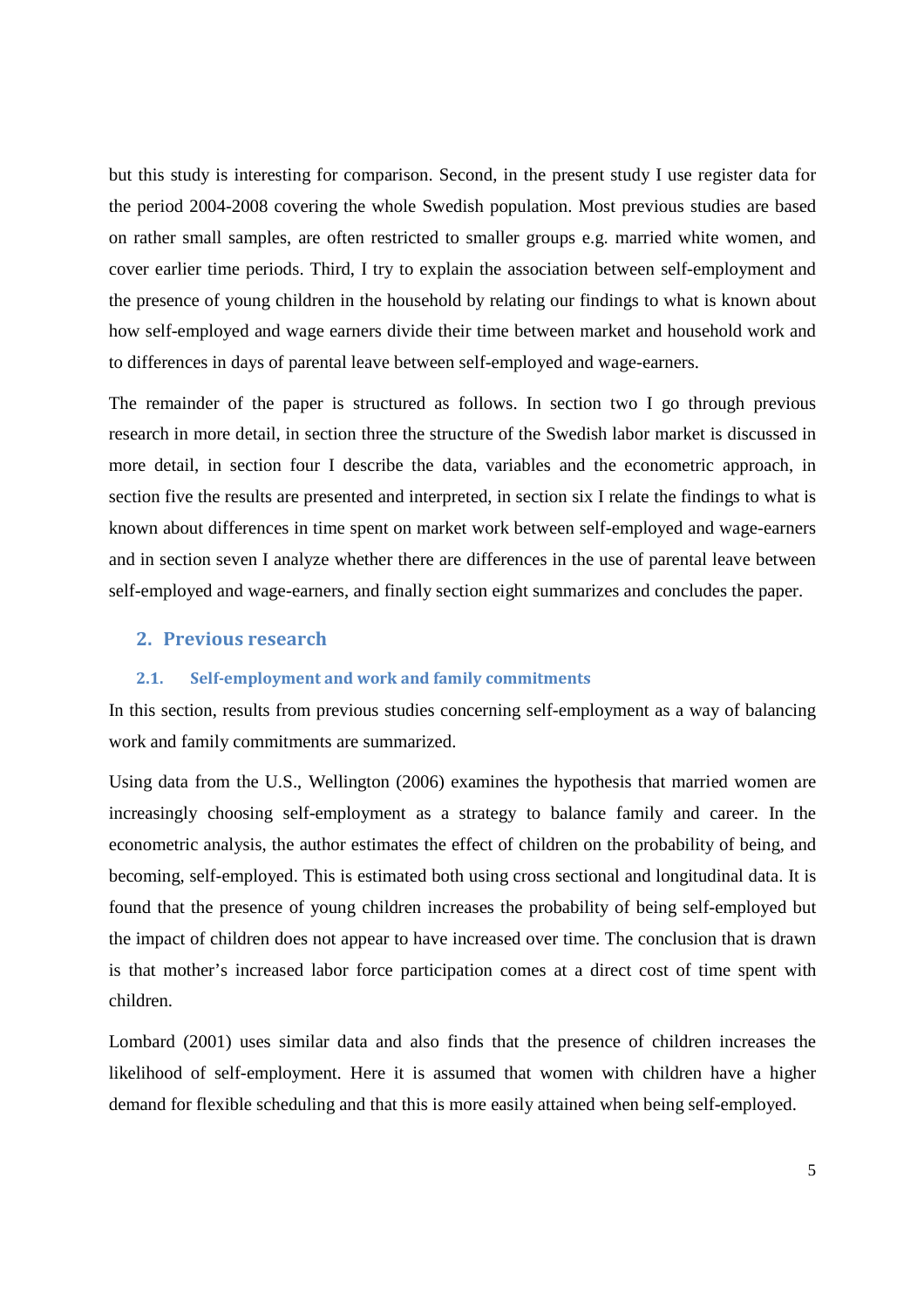but this study is interesting for comparison. Second, in the present study I use register data for the period 2004-2008 covering the whole Swedish population. Most previous studies are based on rather small samples, are often restricted to smaller groups e.g. married white women, and cover earlier time periods. Third, I try to explain the association between self-employment and the presence of young children in the household by relating our findings to what is known about how self-employed and wage earners divide their time between market and household work and to differences in days of parental leave between self-employed and wage-earners.

The remainder of the paper is structured as follows. In section two I go through previous research in more detail, in section three the structure of the Swedish labor market is discussed in more detail, in section four I describe the data, variables and the econometric approach, in section five the results are presented and interpreted, in section six I relate the findings to what is known about differences in time spent on market work between self-employed and wage-earners and in section seven I analyze whether there are differences in the use of parental leave between self-employed and wage-earners, and finally section eight summarizes and concludes the paper.

## **2. Previous research**

#### **2.1. Self-employment and work and family commitments**

In this section, results from previous studies concerning self-employment as a way of balancing work and family commitments are summarized.

Using data from the U.S., Wellington (2006) examines the hypothesis that married women are increasingly choosing self-employment as a strategy to balance family and career. In the econometric analysis, the author estimates the effect of children on the probability of being, and becoming, self-employed. This is estimated both using cross sectional and longitudinal data. It is found that the presence of young children increases the probability of being self-employed but the impact of children does not appear to have increased over time. The conclusion that is drawn is that mother's increased labor force participation comes at a direct cost of time spent with children.

Lombard (2001) uses similar data and also finds that the presence of children increases the likelihood of self-employment. Here it is assumed that women with children have a higher demand for flexible scheduling and that this is more easily attained when being self-employed.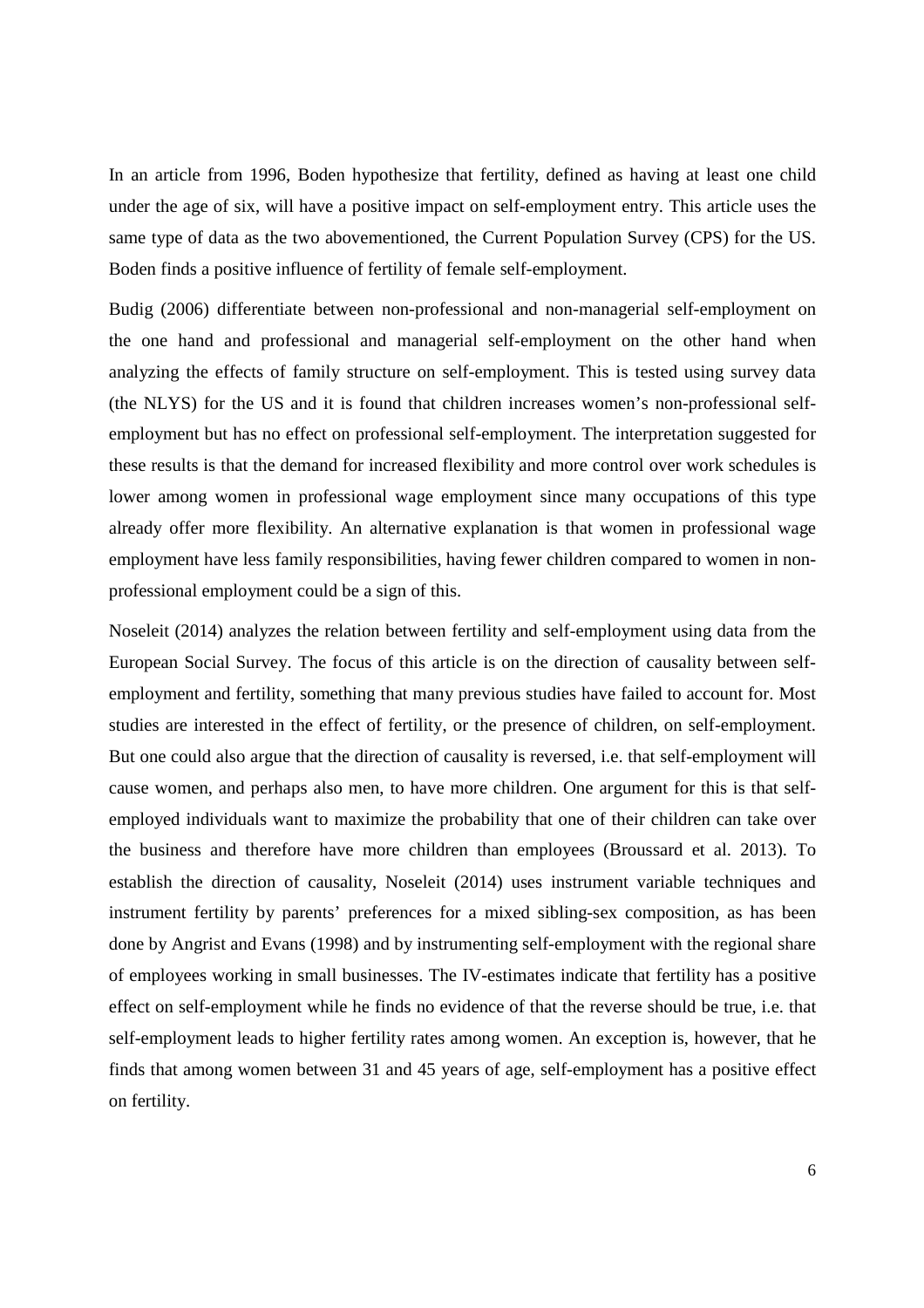In an article from 1996, Boden hypothesize that fertility, defined as having at least one child under the age of six, will have a positive impact on self-employment entry. This article uses the same type of data as the two abovementioned, the Current Population Survey (CPS) for the US. Boden finds a positive influence of fertility of female self-employment.

Budig (2006) differentiate between non-professional and non-managerial self-employment on the one hand and professional and managerial self-employment on the other hand when analyzing the effects of family structure on self-employment. This is tested using survey data (the NLYS) for the US and it is found that children increases women's non-professional selfemployment but has no effect on professional self-employment. The interpretation suggested for these results is that the demand for increased flexibility and more control over work schedules is lower among women in professional wage employment since many occupations of this type already offer more flexibility. An alternative explanation is that women in professional wage employment have less family responsibilities, having fewer children compared to women in nonprofessional employment could be a sign of this.

Noseleit (2014) analyzes the relation between fertility and self-employment using data from the European Social Survey. The focus of this article is on the direction of causality between selfemployment and fertility, something that many previous studies have failed to account for. Most studies are interested in the effect of fertility, or the presence of children, on self-employment. But one could also argue that the direction of causality is reversed, i.e. that self-employment will cause women, and perhaps also men, to have more children. One argument for this is that selfemployed individuals want to maximize the probability that one of their children can take over the business and therefore have more children than employees (Broussard et al. 2013). To establish the direction of causality, Noseleit (2014) uses instrument variable techniques and instrument fertility by parents' preferences for a mixed sibling-sex composition, as has been done by Angrist and Evans (1998) and by instrumenting self-employment with the regional share of employees working in small businesses. The IV-estimates indicate that fertility has a positive effect on self-employment while he finds no evidence of that the reverse should be true, i.e. that self-employment leads to higher fertility rates among women. An exception is, however, that he finds that among women between 31 and 45 years of age, self-employment has a positive effect on fertility.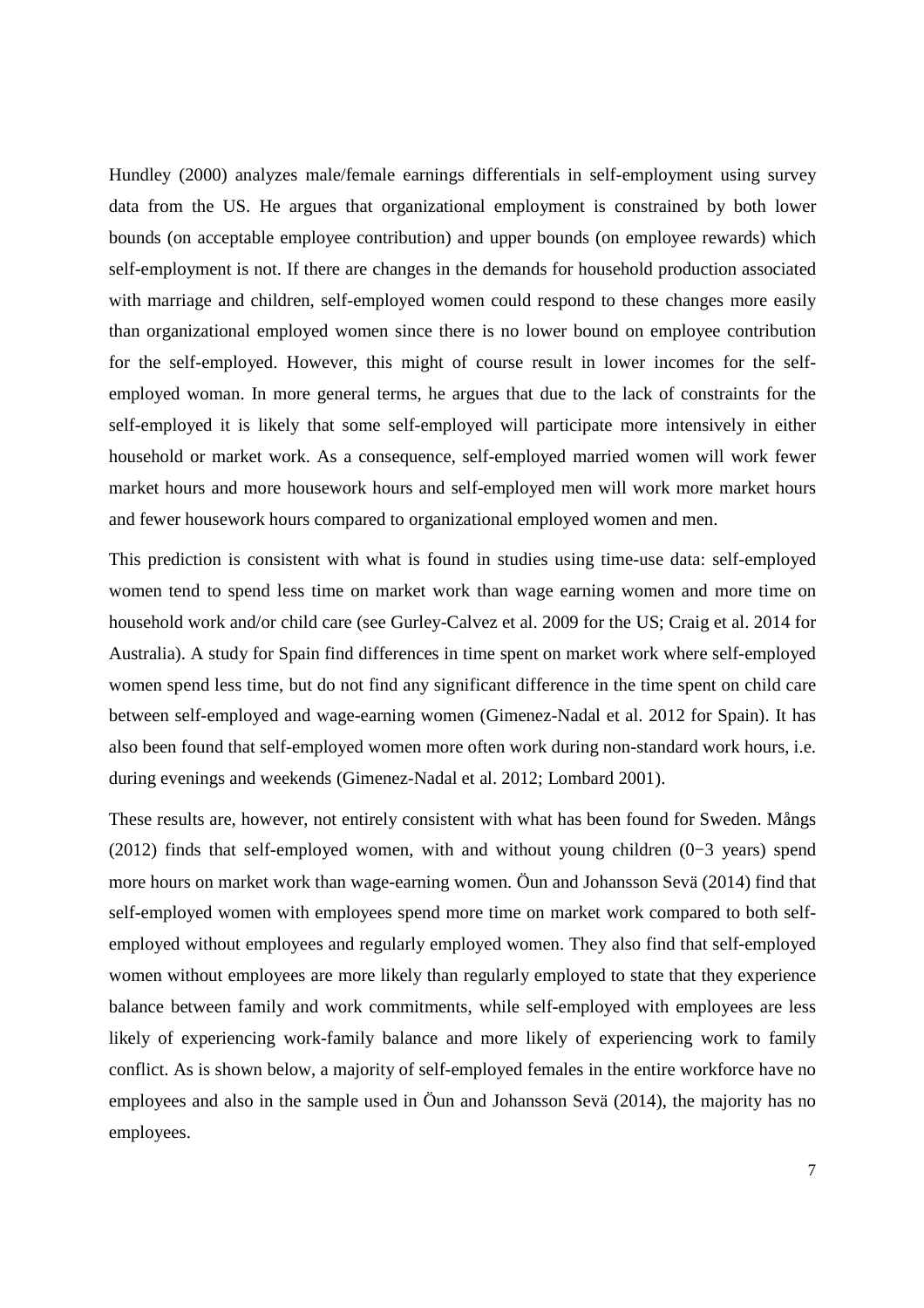Hundley (2000) analyzes male/female earnings differentials in self-employment using survey data from the US. He argues that organizational employment is constrained by both lower bounds (on acceptable employee contribution) and upper bounds (on employee rewards) which self-employment is not. If there are changes in the demands for household production associated with marriage and children, self-employed women could respond to these changes more easily than organizational employed women since there is no lower bound on employee contribution for the self-employed. However, this might of course result in lower incomes for the selfemployed woman. In more general terms, he argues that due to the lack of constraints for the self-employed it is likely that some self-employed will participate more intensively in either household or market work. As a consequence, self-employed married women will work fewer market hours and more housework hours and self-employed men will work more market hours and fewer housework hours compared to organizational employed women and men.

This prediction is consistent with what is found in studies using time-use data: self-employed women tend to spend less time on market work than wage earning women and more time on household work and/or child care (see Gurley-Calvez et al. 2009 for the US; Craig et al. 2014 for Australia). A study for Spain find differences in time spent on market work where self-employed women spend less time, but do not find any significant difference in the time spent on child care between self-employed and wage-earning women (Gimenez-Nadal et al. 2012 for Spain). It has also been found that self-employed women more often work during non-standard work hours, i.e. during evenings and weekends (Gimenez-Nadal et al. 2012; Lombard 2001).

These results are, however, not entirely consistent with what has been found for Sweden. Mångs (2012) finds that self-employed women, with and without young children (0−3 years) spend more hours on market work than wage-earning women. Öun and Johansson Sevä (2014) find that self-employed women with employees spend more time on market work compared to both selfemployed without employees and regularly employed women. They also find that self-employed women without employees are more likely than regularly employed to state that they experience balance between family and work commitments, while self-employed with employees are less likely of experiencing work-family balance and more likely of experiencing work to family conflict. As is shown below, a majority of self-employed females in the entire workforce have no employees and also in the sample used in Öun and Johansson Sevä (2014), the majority has no employees.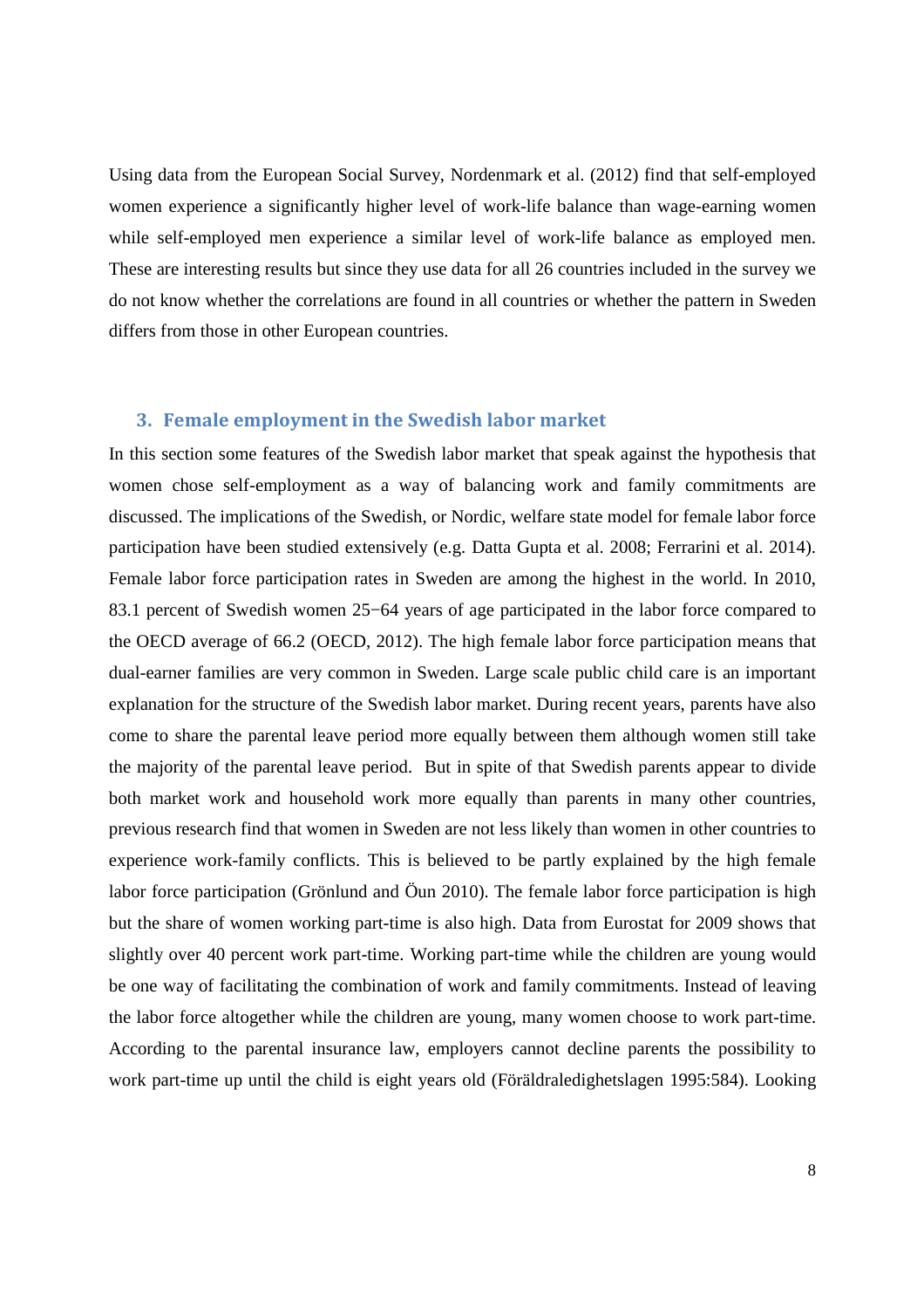Using data from the European Social Survey, Nordenmark et al. (2012) find that self-employed women experience a significantly higher level of work-life balance than wage-earning women while self-employed men experience a similar level of work-life balance as employed men. These are interesting results but since they use data for all 26 countries included in the survey we do not know whether the correlations are found in all countries or whether the pattern in Sweden differs from those in other European countries.

## **3. Female employment in the Swedish labor market**

In this section some features of the Swedish labor market that speak against the hypothesis that women chose self-employment as a way of balancing work and family commitments are discussed. The implications of the Swedish, or Nordic, welfare state model for female labor force participation have been studied extensively (e.g. Datta Gupta et al. 2008; Ferrarini et al. 2014). Female labor force participation rates in Sweden are among the highest in the world. In 2010, 83.1 percent of Swedish women 25−64 years of age participated in the labor force compared to the OECD average of 66.2 (OECD, 2012). The high female labor force participation means that dual-earner families are very common in Sweden. Large scale public child care is an important explanation for the structure of the Swedish labor market. During recent years, parents have also come to share the parental leave period more equally between them although women still take the majority of the parental leave period. But in spite of that Swedish parents appear to divide both market work and household work more equally than parents in many other countries, previous research find that women in Sweden are not less likely than women in other countries to experience work-family conflicts. This is believed to be partly explained by the high female labor force participation (Grönlund and Öun 2010). The female labor force participation is high but the share of women working part-time is also high. Data from Eurostat for 2009 shows that slightly over 40 percent work part-time. Working part-time while the children are young would be one way of facilitating the combination of work and family commitments. Instead of leaving the labor force altogether while the children are young, many women choose to work part-time. According to the parental insurance law, employers cannot decline parents the possibility to work part-time up until the child is eight years old (Föräldraledighetslagen 1995:584). Looking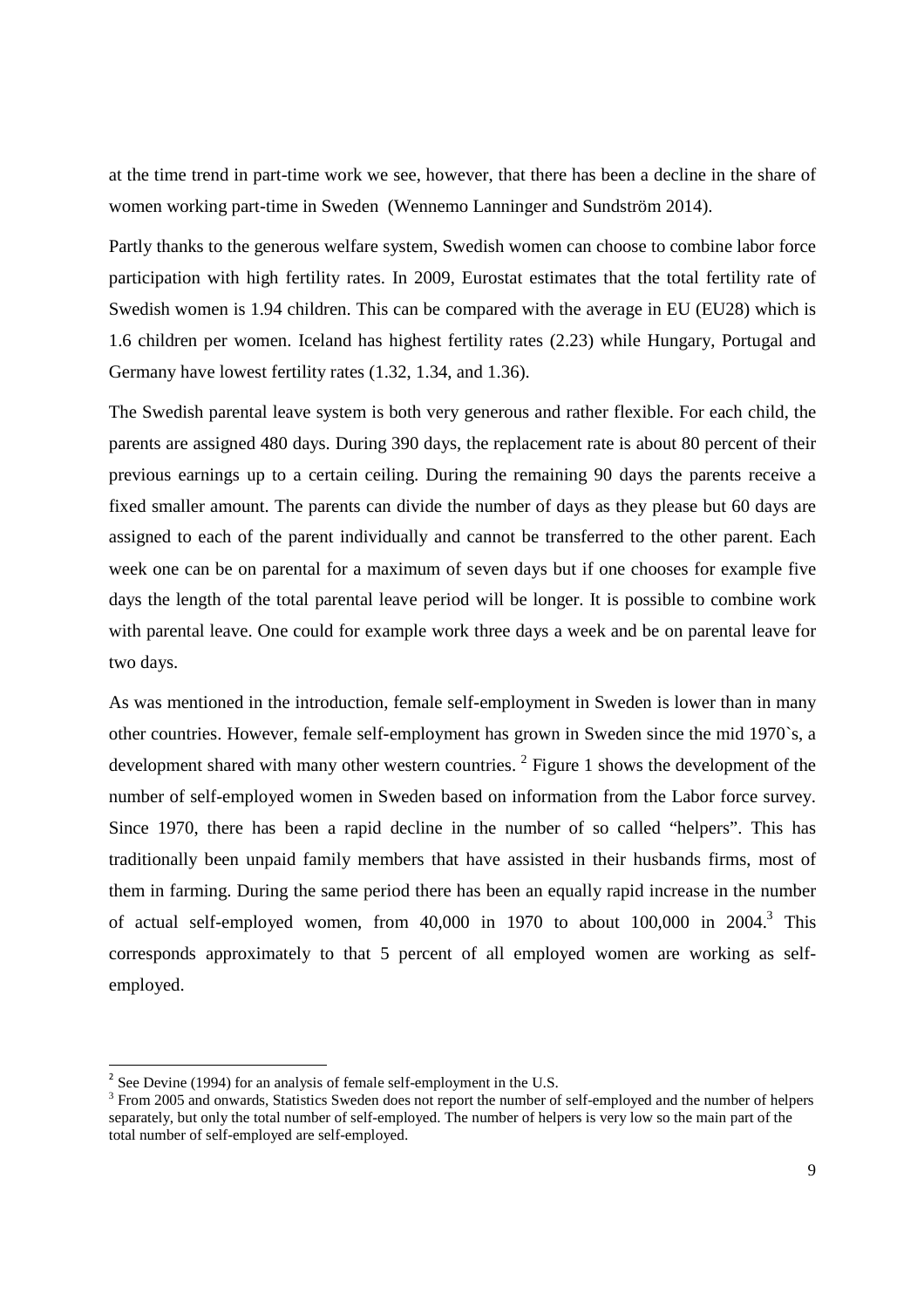at the time trend in part-time work we see, however, that there has been a decline in the share of women working part-time in Sweden (Wennemo Lanninger and Sundström 2014).

Partly thanks to the generous welfare system, Swedish women can choose to combine labor force participation with high fertility rates. In 2009, Eurostat estimates that the total fertility rate of Swedish women is 1.94 children. This can be compared with the average in EU (EU28) which is 1.6 children per women. Iceland has highest fertility rates (2.23) while Hungary, Portugal and Germany have lowest fertility rates (1.32, 1.34, and 1.36).

The Swedish parental leave system is both very generous and rather flexible. For each child, the parents are assigned 480 days. During 390 days, the replacement rate is about 80 percent of their previous earnings up to a certain ceiling. During the remaining 90 days the parents receive a fixed smaller amount. The parents can divide the number of days as they please but 60 days are assigned to each of the parent individually and cannot be transferred to the other parent. Each week one can be on parental for a maximum of seven days but if one chooses for example five days the length of the total parental leave period will be longer. It is possible to combine work with parental leave. One could for example work three days a week and be on parental leave for two days.

As was mentioned in the introduction, female self-employment in Sweden is lower than in many other countries. However, female self-employment has grown in Sweden since the mid 1970`s, a development shared with many other western countries.<sup>2</sup> Figure 1 shows the development of the number of self-employed women in Sweden based on information from the Labor force survey. Since 1970, there has been a rapid decline in the number of so called "helpers". This has traditionally been unpaid family members that have assisted in their husbands firms, most of them in farming. During the same period there has been an equally rapid increase in the number of actual self-employed women, from 40,000 in 1970 to about 100,000 in 2004.<sup>3</sup> This corresponds approximately to that 5 percent of all employed women are working as selfemployed.

<sup>&</sup>lt;sup>2</sup> See Devine (1994) for an analysis of female self-employment in the U.S.

<sup>&</sup>lt;sup>3</sup> From 2005 and onwards, Statistics Sweden does not report the number of self-employed and the number of helpers separately, but only the total number of self-employed. The number of helpers is very low so the main part of the total number of self-employed are self-employed.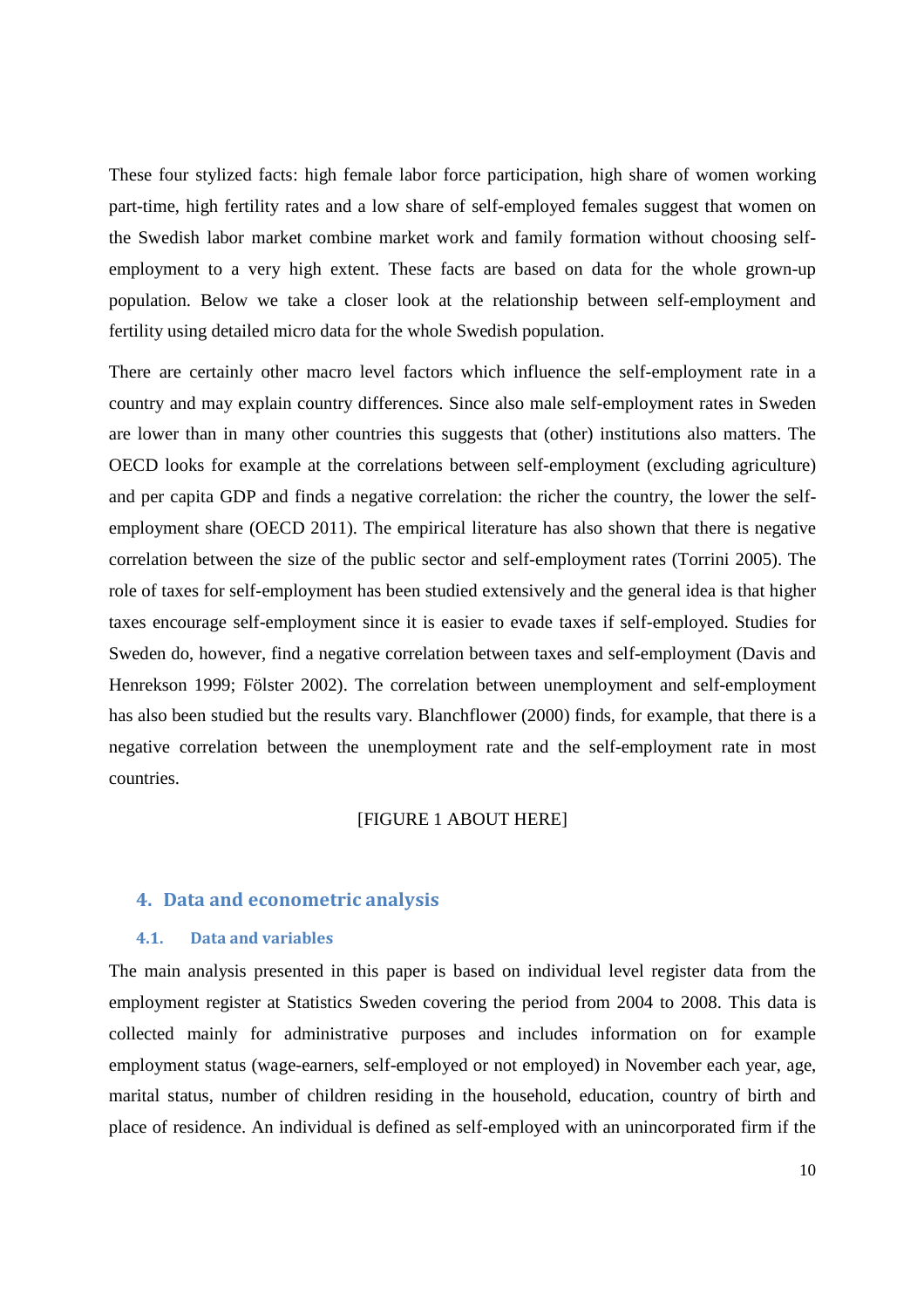These four stylized facts: high female labor force participation, high share of women working part-time, high fertility rates and a low share of self-employed females suggest that women on the Swedish labor market combine market work and family formation without choosing selfemployment to a very high extent. These facts are based on data for the whole grown-up population. Below we take a closer look at the relationship between self-employment and fertility using detailed micro data for the whole Swedish population.

There are certainly other macro level factors which influence the self-employment rate in a country and may explain country differences. Since also male self-employment rates in Sweden are lower than in many other countries this suggests that (other) institutions also matters. The OECD looks for example at the correlations between self-employment (excluding agriculture) and per capita GDP and finds a negative correlation: the richer the country, the lower the selfemployment share (OECD 2011). The empirical literature has also shown that there is negative correlation between the size of the public sector and self-employment rates (Torrini 2005). The role of taxes for self-employment has been studied extensively and the general idea is that higher taxes encourage self-employment since it is easier to evade taxes if self-employed. Studies for Sweden do, however, find a negative correlation between taxes and self-employment (Davis and Henrekson 1999; Fölster 2002). The correlation between unemployment and self-employment has also been studied but the results vary. Blanchflower (2000) finds, for example, that there is a negative correlation between the unemployment rate and the self-employment rate in most countries.

#### [FIGURE 1 ABOUT HERE]

## **4. Data and econometric analysis**

#### **4.1. Data and variables**

The main analysis presented in this paper is based on individual level register data from the employment register at Statistics Sweden covering the period from 2004 to 2008. This data is collected mainly for administrative purposes and includes information on for example employment status (wage-earners, self-employed or not employed) in November each year, age, marital status, number of children residing in the household, education, country of birth and place of residence. An individual is defined as self-employed with an unincorporated firm if the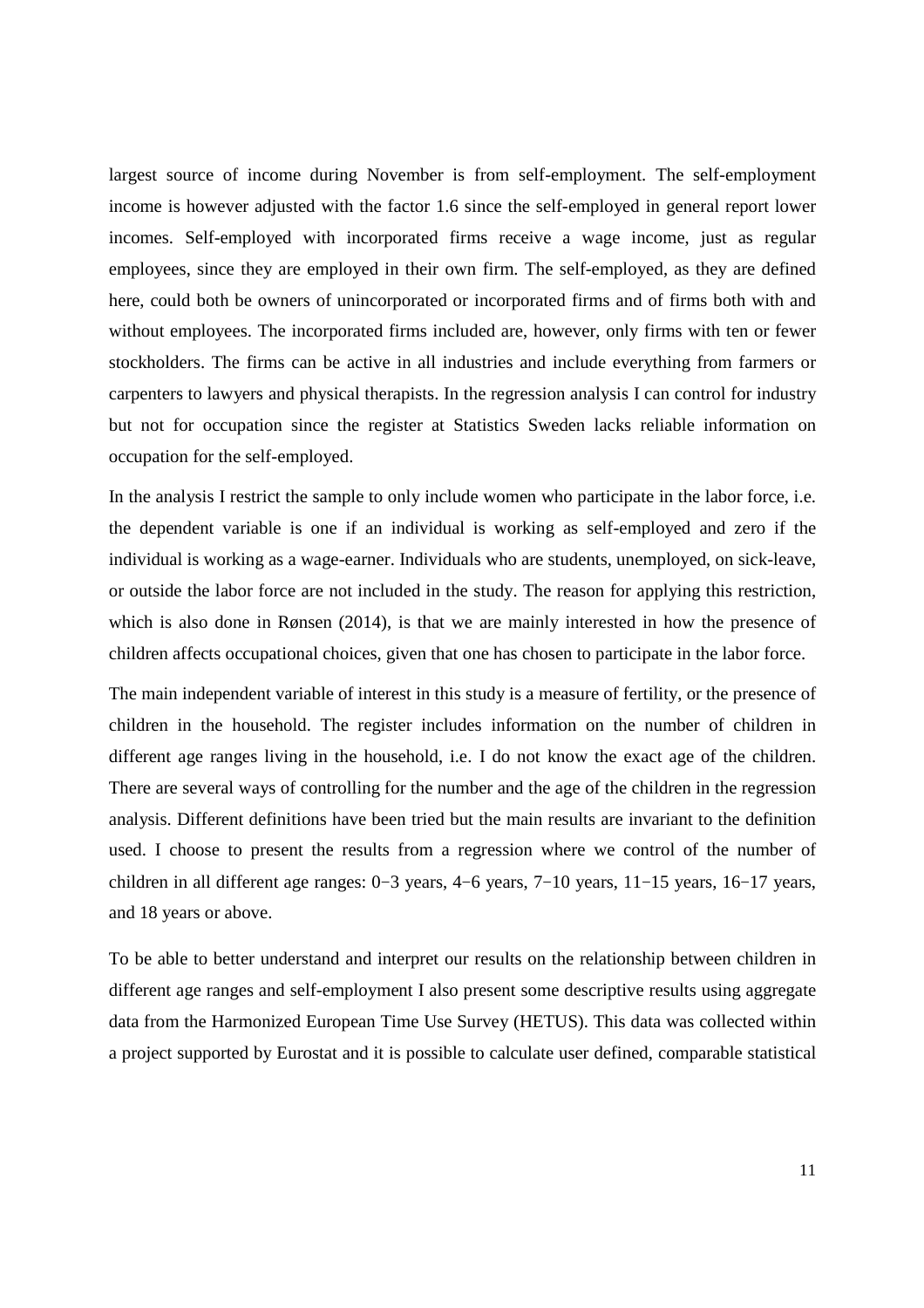largest source of income during November is from self-employment. The self-employment income is however adjusted with the factor 1.6 since the self-employed in general report lower incomes. Self-employed with incorporated firms receive a wage income, just as regular employees, since they are employed in their own firm. The self-employed, as they are defined here, could both be owners of unincorporated or incorporated firms and of firms both with and without employees. The incorporated firms included are, however, only firms with ten or fewer stockholders. The firms can be active in all industries and include everything from farmers or carpenters to lawyers and physical therapists. In the regression analysis I can control for industry but not for occupation since the register at Statistics Sweden lacks reliable information on occupation for the self-employed.

In the analysis I restrict the sample to only include women who participate in the labor force, i.e. the dependent variable is one if an individual is working as self-employed and zero if the individual is working as a wage-earner. Individuals who are students, unemployed, on sick-leave, or outside the labor force are not included in the study. The reason for applying this restriction, which is also done in Rønsen (2014), is that we are mainly interested in how the presence of children affects occupational choices, given that one has chosen to participate in the labor force.

The main independent variable of interest in this study is a measure of fertility, or the presence of children in the household. The register includes information on the number of children in different age ranges living in the household, i.e. I do not know the exact age of the children. There are several ways of controlling for the number and the age of the children in the regression analysis. Different definitions have been tried but the main results are invariant to the definition used. I choose to present the results from a regression where we control of the number of children in all different age ranges: 0−3 years, 4−6 years, 7−10 years, 11−15 years, 16−17 years, and 18 years or above.

To be able to better understand and interpret our results on the relationship between children in different age ranges and self-employment I also present some descriptive results using aggregate data from the Harmonized European Time Use Survey (HETUS). This data was collected within a project supported by Eurostat and it is possible to calculate user defined, comparable statistical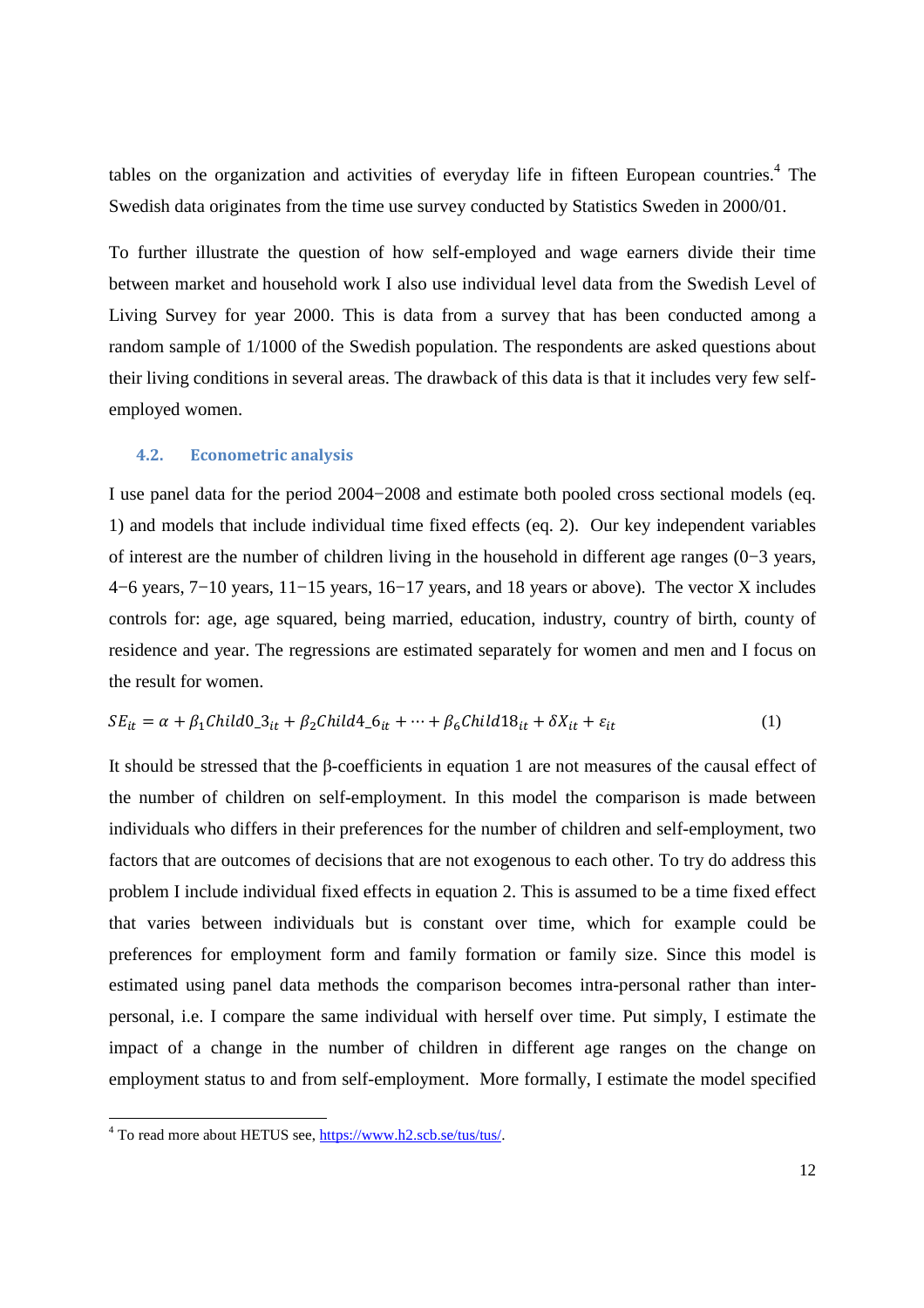tables on the organization and activities of everyday life in fifteen European countries.<sup>4</sup> The Swedish data originates from the time use survey conducted by Statistics Sweden in 2000/01.

To further illustrate the question of how self-employed and wage earners divide their time between market and household work I also use individual level data from the Swedish Level of Living Survey for year 2000. This is data from a survey that has been conducted among a random sample of 1/1000 of the Swedish population. The respondents are asked questions about their living conditions in several areas. The drawback of this data is that it includes very few selfemployed women.

#### **4.2. Econometric analysis**

I use panel data for the period 2004−2008 and estimate both pooled cross sectional models (eq. 1) and models that include individual time fixed effects (eq. 2). Our key independent variables of interest are the number of children living in the household in different age ranges (0−3 years, 4−6 years, 7−10 years, 11−15 years, 16−17 years, and 18 years or above). The vector X includes controls for: age, age squared, being married, education, industry, country of birth, county of residence and year. The regressions are estimated separately for women and men and I focus on the result for women.

$$
SE_{it} = \alpha + \beta_1 Child0_3_{it} + \beta_2 Child4_6_{it} + \dots + \beta_6 Child18_{it} + \delta X_{it} + \varepsilon_{it}
$$
\n(1)

It should be stressed that the β-coefficients in equation 1 are not measures of the causal effect of the number of children on self-employment. In this model the comparison is made between individuals who differs in their preferences for the number of children and self-employment, two factors that are outcomes of decisions that are not exogenous to each other. To try do address this problem I include individual fixed effects in equation 2. This is assumed to be a time fixed effect that varies between individuals but is constant over time, which for example could be preferences for employment form and family formation or family size. Since this model is estimated using panel data methods the comparison becomes intra-personal rather than interpersonal, i.e. I compare the same individual with herself over time. Put simply, I estimate the impact of a change in the number of children in different age ranges on the change on employment status to and from self-employment. More formally, I estimate the model specified

<u>.</u>

<sup>&</sup>lt;sup>4</sup> To read more about HETUS see, https://www.h2.scb.se/tus/tus/.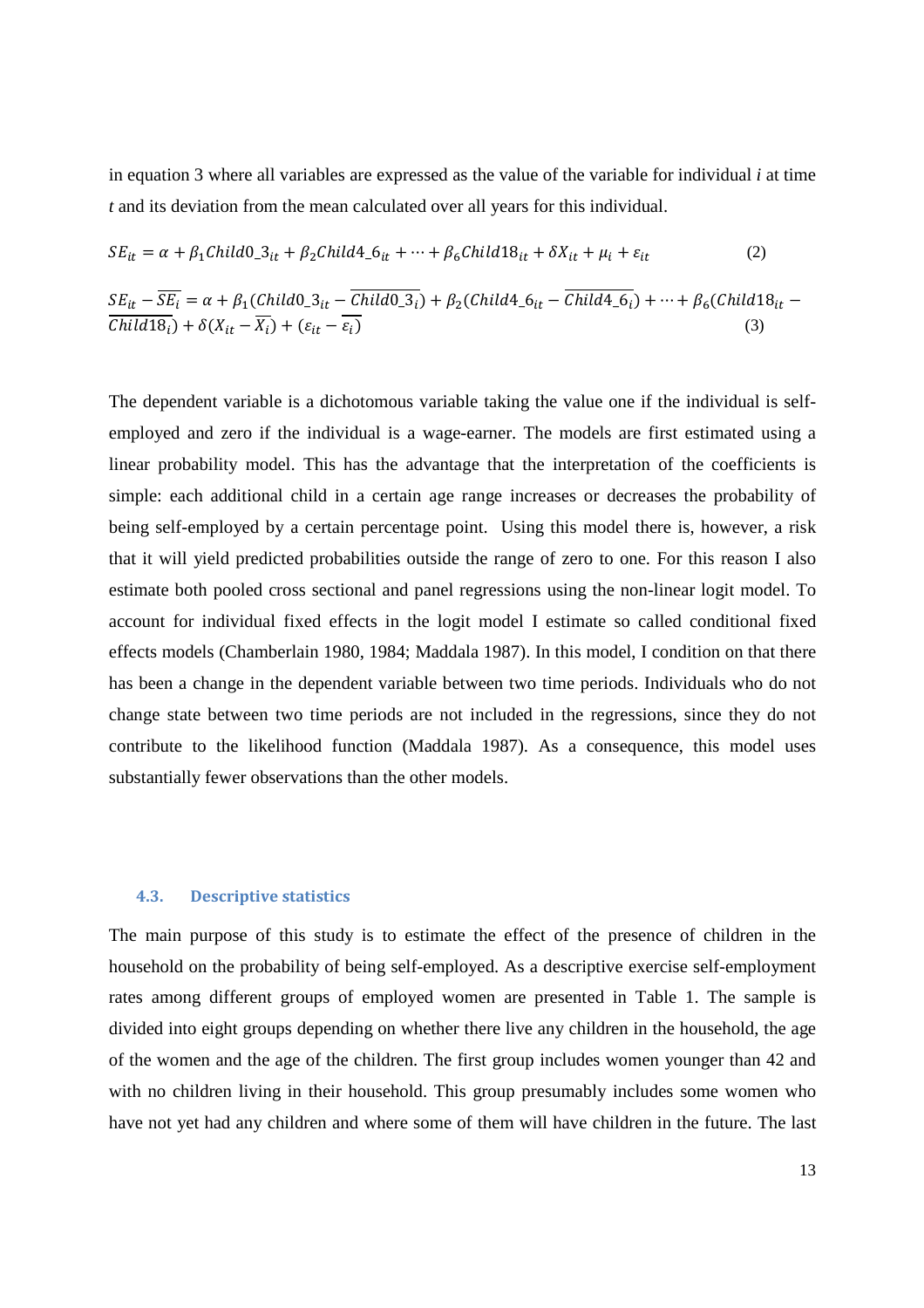in equation 3 where all variables are expressed as the value of the variable for individual *i* at time *t* and its deviation from the mean calculated over all years for this individual.

$$
SE_{it} = \alpha + \beta_1 Child0_3_{it} + \beta_2 Child4_6_{it} + \dots + \beta_6 Child18_{it} + \delta X_{it} + \mu_i + \varepsilon_{it}
$$
 (2)

$$
\frac{SE_{it} - \overline{SE_i}}{Child(18_i)} = \alpha + \beta_1 (Child(0_3_{it} - \overline{Child(0_3_i)}) + \beta_2 (Child(4_6_{it} - \overline{Child(4_6_i)}) + \dots + \beta_6 (Child(18_{it} - \overline{Child(8_i)}) + \delta(X_{it} - \overline{X_i}) + (\varepsilon_{it} - \overline{\varepsilon_i})
$$
\n(3)

The dependent variable is a dichotomous variable taking the value one if the individual is selfemployed and zero if the individual is a wage-earner. The models are first estimated using a linear probability model. This has the advantage that the interpretation of the coefficients is simple: each additional child in a certain age range increases or decreases the probability of being self-employed by a certain percentage point. Using this model there is, however, a risk that it will yield predicted probabilities outside the range of zero to one. For this reason I also estimate both pooled cross sectional and panel regressions using the non-linear logit model. To account for individual fixed effects in the logit model I estimate so called conditional fixed effects models (Chamberlain 1980, 1984; Maddala 1987). In this model, I condition on that there has been a change in the dependent variable between two time periods. Individuals who do not change state between two time periods are not included in the regressions, since they do not contribute to the likelihood function (Maddala 1987). As a consequence, this model uses substantially fewer observations than the other models.

#### **4.3. Descriptive statistics**

The main purpose of this study is to estimate the effect of the presence of children in the household on the probability of being self-employed. As a descriptive exercise self-employment rates among different groups of employed women are presented in Table 1. The sample is divided into eight groups depending on whether there live any children in the household, the age of the women and the age of the children. The first group includes women younger than 42 and with no children living in their household. This group presumably includes some women who have not yet had any children and where some of them will have children in the future. The last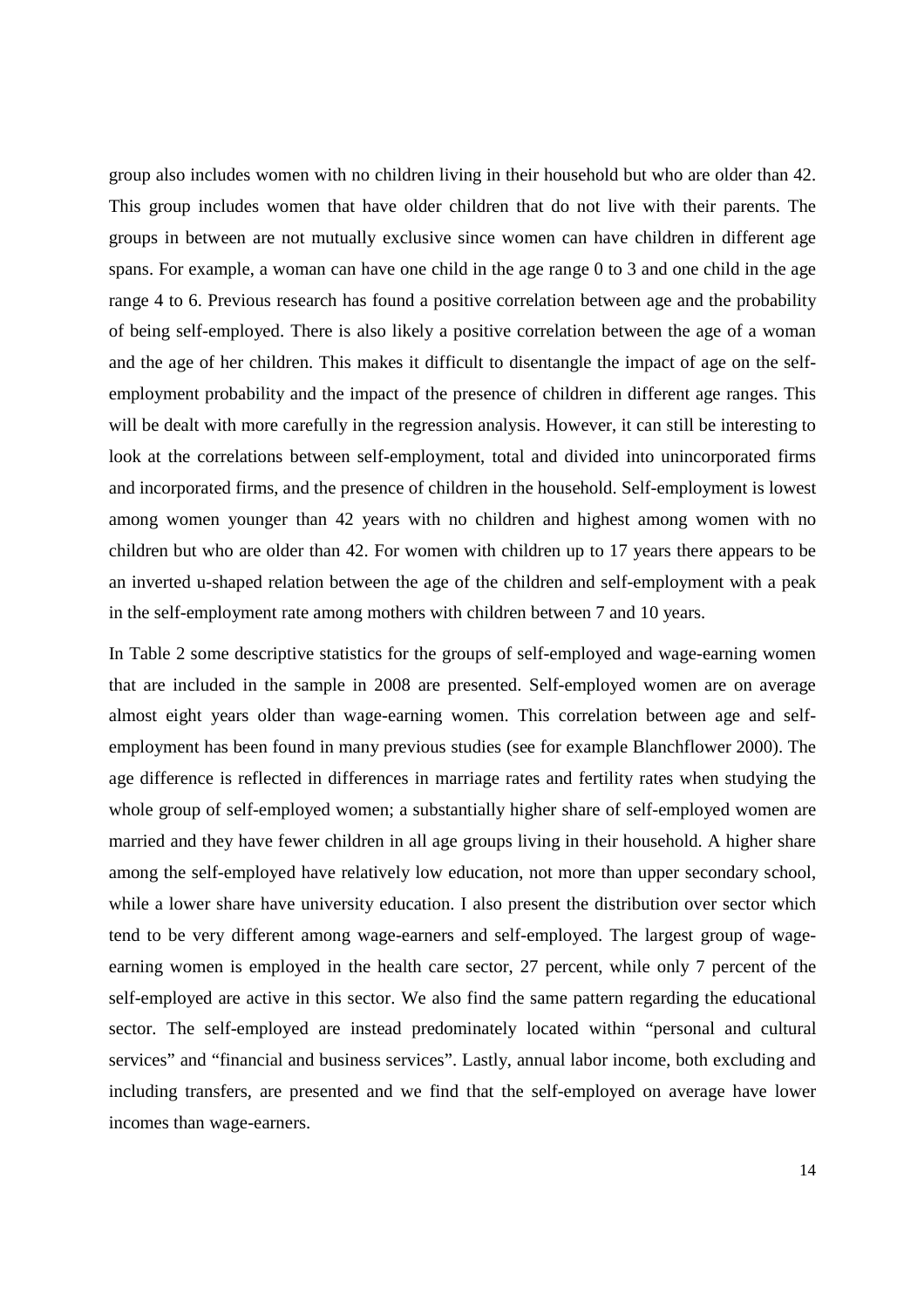group also includes women with no children living in their household but who are older than 42. This group includes women that have older children that do not live with their parents. The groups in between are not mutually exclusive since women can have children in different age spans. For example, a woman can have one child in the age range 0 to 3 and one child in the age range 4 to 6. Previous research has found a positive correlation between age and the probability of being self-employed. There is also likely a positive correlation between the age of a woman and the age of her children. This makes it difficult to disentangle the impact of age on the selfemployment probability and the impact of the presence of children in different age ranges. This will be dealt with more carefully in the regression analysis. However, it can still be interesting to look at the correlations between self-employment, total and divided into unincorporated firms and incorporated firms, and the presence of children in the household. Self-employment is lowest among women younger than 42 years with no children and highest among women with no children but who are older than 42. For women with children up to 17 years there appears to be an inverted u-shaped relation between the age of the children and self-employment with a peak in the self-employment rate among mothers with children between 7 and 10 years.

In Table 2 some descriptive statistics for the groups of self-employed and wage-earning women that are included in the sample in 2008 are presented. Self-employed women are on average almost eight years older than wage-earning women. This correlation between age and selfemployment has been found in many previous studies (see for example Blanchflower 2000). The age difference is reflected in differences in marriage rates and fertility rates when studying the whole group of self-employed women; a substantially higher share of self-employed women are married and they have fewer children in all age groups living in their household. A higher share among the self-employed have relatively low education, not more than upper secondary school, while a lower share have university education. I also present the distribution over sector which tend to be very different among wage-earners and self-employed. The largest group of wageearning women is employed in the health care sector, 27 percent, while only 7 percent of the self-employed are active in this sector. We also find the same pattern regarding the educational sector. The self-employed are instead predominately located within "personal and cultural services" and "financial and business services". Lastly, annual labor income, both excluding and including transfers, are presented and we find that the self-employed on average have lower incomes than wage-earners.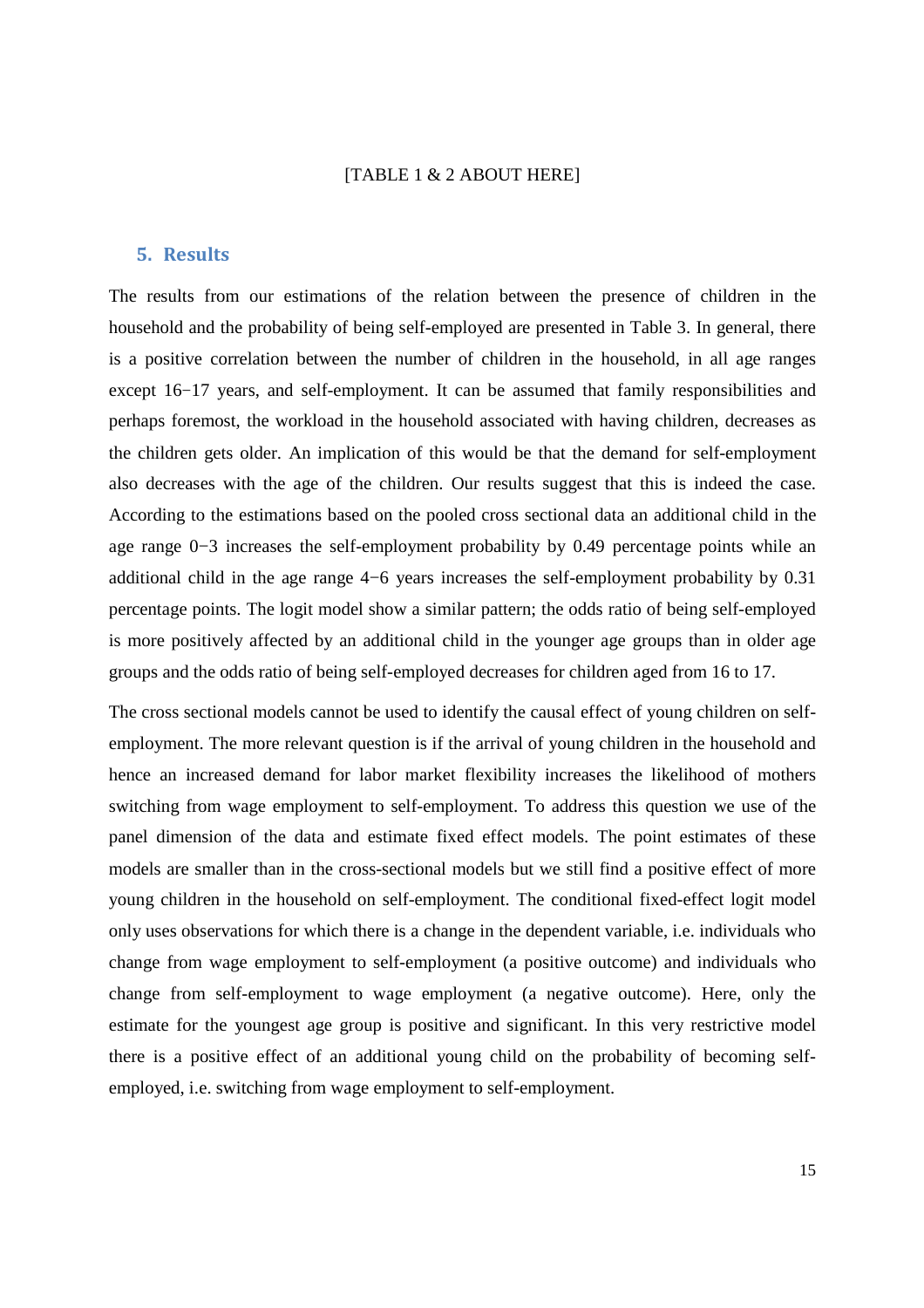#### [TABLE 1 & 2 ABOUT HERE]

### **5. Results**

The results from our estimations of the relation between the presence of children in the household and the probability of being self-employed are presented in Table 3. In general, there is a positive correlation between the number of children in the household, in all age ranges except 16−17 years, and self-employment. It can be assumed that family responsibilities and perhaps foremost, the workload in the household associated with having children, decreases as the children gets older. An implication of this would be that the demand for self-employment also decreases with the age of the children. Our results suggest that this is indeed the case. According to the estimations based on the pooled cross sectional data an additional child in the age range 0−3 increases the self-employment probability by 0.49 percentage points while an additional child in the age range 4−6 years increases the self-employment probability by 0.31 percentage points. The logit model show a similar pattern; the odds ratio of being self-employed is more positively affected by an additional child in the younger age groups than in older age groups and the odds ratio of being self-employed decreases for children aged from 16 to 17.

The cross sectional models cannot be used to identify the causal effect of young children on selfemployment. The more relevant question is if the arrival of young children in the household and hence an increased demand for labor market flexibility increases the likelihood of mothers switching from wage employment to self-employment. To address this question we use of the panel dimension of the data and estimate fixed effect models. The point estimates of these models are smaller than in the cross-sectional models but we still find a positive effect of more young children in the household on self-employment. The conditional fixed-effect logit model only uses observations for which there is a change in the dependent variable, i.e. individuals who change from wage employment to self-employment (a positive outcome) and individuals who change from self-employment to wage employment (a negative outcome). Here, only the estimate for the youngest age group is positive and significant. In this very restrictive model there is a positive effect of an additional young child on the probability of becoming selfemployed, i.e. switching from wage employment to self-employment.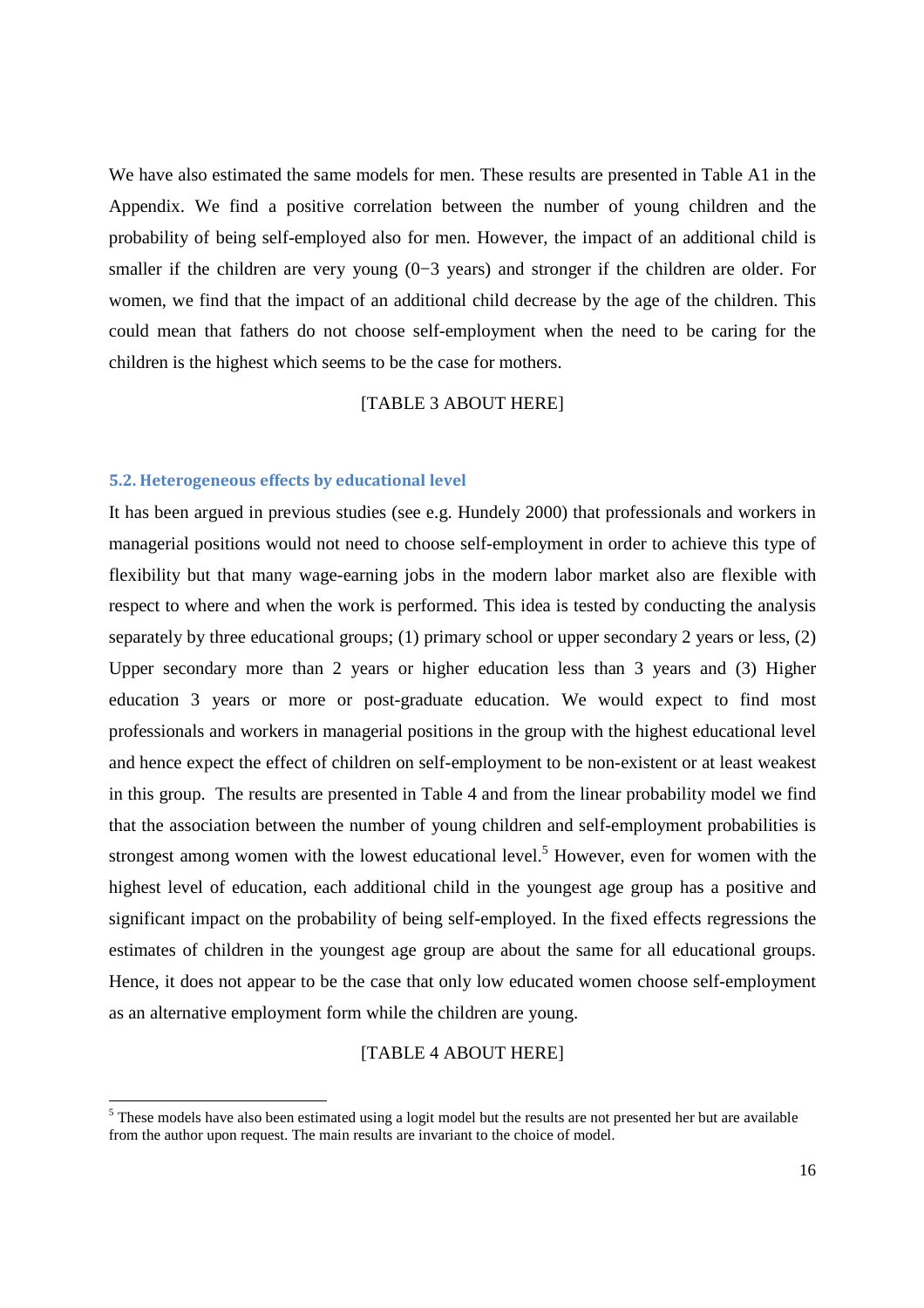We have also estimated the same models for men. These results are presented in Table A1 in the Appendix. We find a positive correlation between the number of young children and the probability of being self-employed also for men. However, the impact of an additional child is smaller if the children are very young (0–3 years) and stronger if the children are older. For women, we find that the impact of an additional child decrease by the age of the children. This could mean that fathers do not choose self-employment when the need to be caring for the children is the highest which seems to be the case for mothers.

## [TABLE 3 ABOUT HERE]

#### **5.2. Heterogeneous effects by educational level**

<u>.</u>

It has been argued in previous studies (see e.g. Hundely 2000) that professionals and workers in managerial positions would not need to choose self-employment in order to achieve this type of flexibility but that many wage-earning jobs in the modern labor market also are flexible with respect to where and when the work is performed. This idea is tested by conducting the analysis separately by three educational groups; (1) primary school or upper secondary 2 years or less, (2) Upper secondary more than 2 years or higher education less than 3 years and (3) Higher education 3 years or more or post-graduate education. We would expect to find most professionals and workers in managerial positions in the group with the highest educational level and hence expect the effect of children on self-employment to be non-existent or at least weakest in this group. The results are presented in Table 4 and from the linear probability model we find that the association between the number of young children and self-employment probabilities is strongest among women with the lowest educational level.<sup>5</sup> However, even for women with the highest level of education, each additional child in the youngest age group has a positive and significant impact on the probability of being self-employed. In the fixed effects regressions the estimates of children in the youngest age group are about the same for all educational groups. Hence, it does not appear to be the case that only low educated women choose self-employment as an alternative employment form while the children are young.

#### [TABLE 4 ABOUT HERE]

<sup>&</sup>lt;sup>5</sup> These models have also been estimated using a logit model but the results are not presented her but are available from the author upon request. The main results are invariant to the choice of model.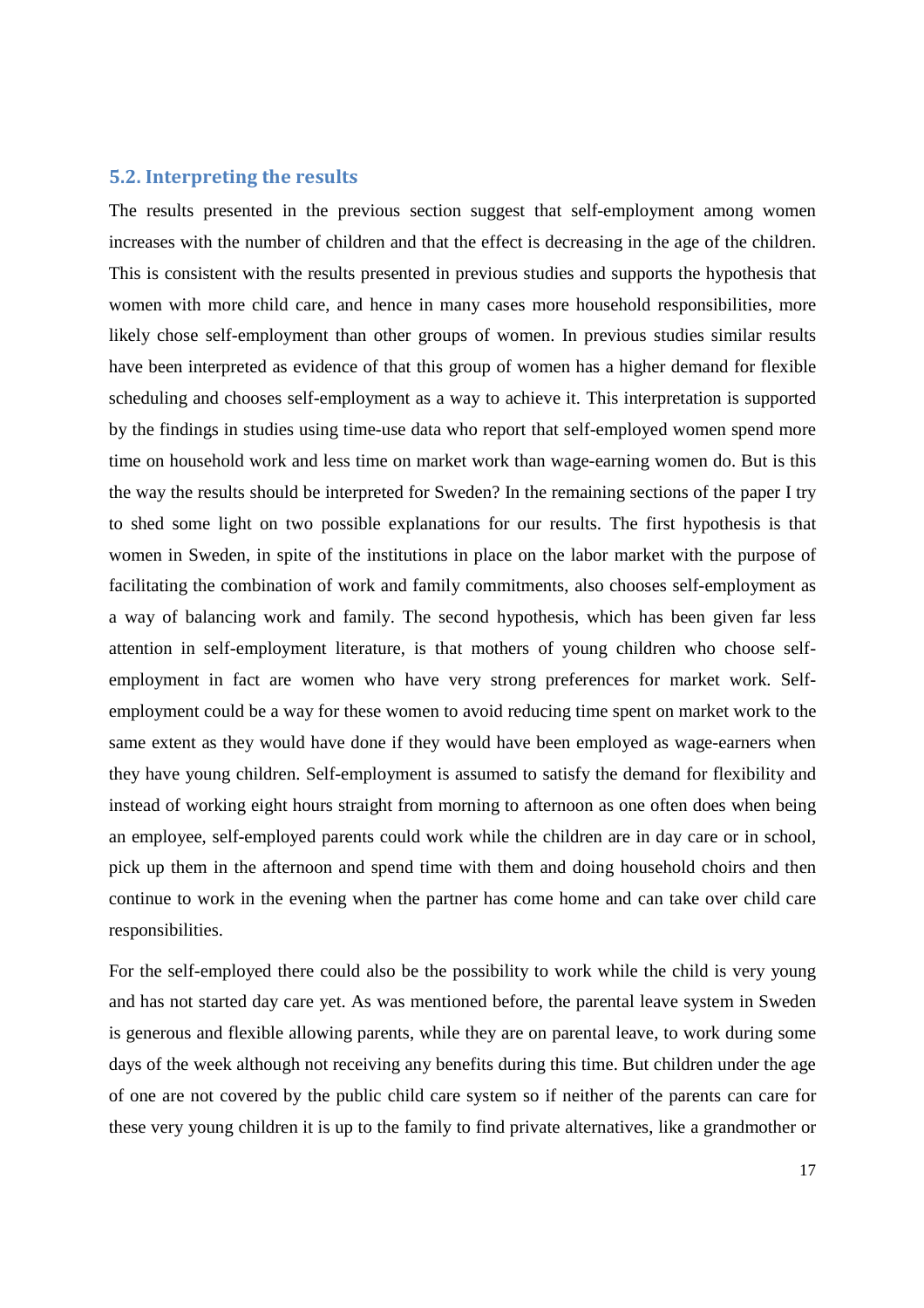#### **5.2. Interpreting the results**

The results presented in the previous section suggest that self-employment among women increases with the number of children and that the effect is decreasing in the age of the children. This is consistent with the results presented in previous studies and supports the hypothesis that women with more child care, and hence in many cases more household responsibilities, more likely chose self-employment than other groups of women. In previous studies similar results have been interpreted as evidence of that this group of women has a higher demand for flexible scheduling and chooses self-employment as a way to achieve it. This interpretation is supported by the findings in studies using time-use data who report that self-employed women spend more time on household work and less time on market work than wage-earning women do. But is this the way the results should be interpreted for Sweden? In the remaining sections of the paper I try to shed some light on two possible explanations for our results. The first hypothesis is that women in Sweden, in spite of the institutions in place on the labor market with the purpose of facilitating the combination of work and family commitments, also chooses self-employment as a way of balancing work and family. The second hypothesis, which has been given far less attention in self-employment literature, is that mothers of young children who choose selfemployment in fact are women who have very strong preferences for market work. Selfemployment could be a way for these women to avoid reducing time spent on market work to the same extent as they would have done if they would have been employed as wage-earners when they have young children. Self-employment is assumed to satisfy the demand for flexibility and instead of working eight hours straight from morning to afternoon as one often does when being an employee, self-employed parents could work while the children are in day care or in school, pick up them in the afternoon and spend time with them and doing household choirs and then continue to work in the evening when the partner has come home and can take over child care responsibilities.

For the self-employed there could also be the possibility to work while the child is very young and has not started day care yet. As was mentioned before, the parental leave system in Sweden is generous and flexible allowing parents, while they are on parental leave, to work during some days of the week although not receiving any benefits during this time. But children under the age of one are not covered by the public child care system so if neither of the parents can care for these very young children it is up to the family to find private alternatives, like a grandmother or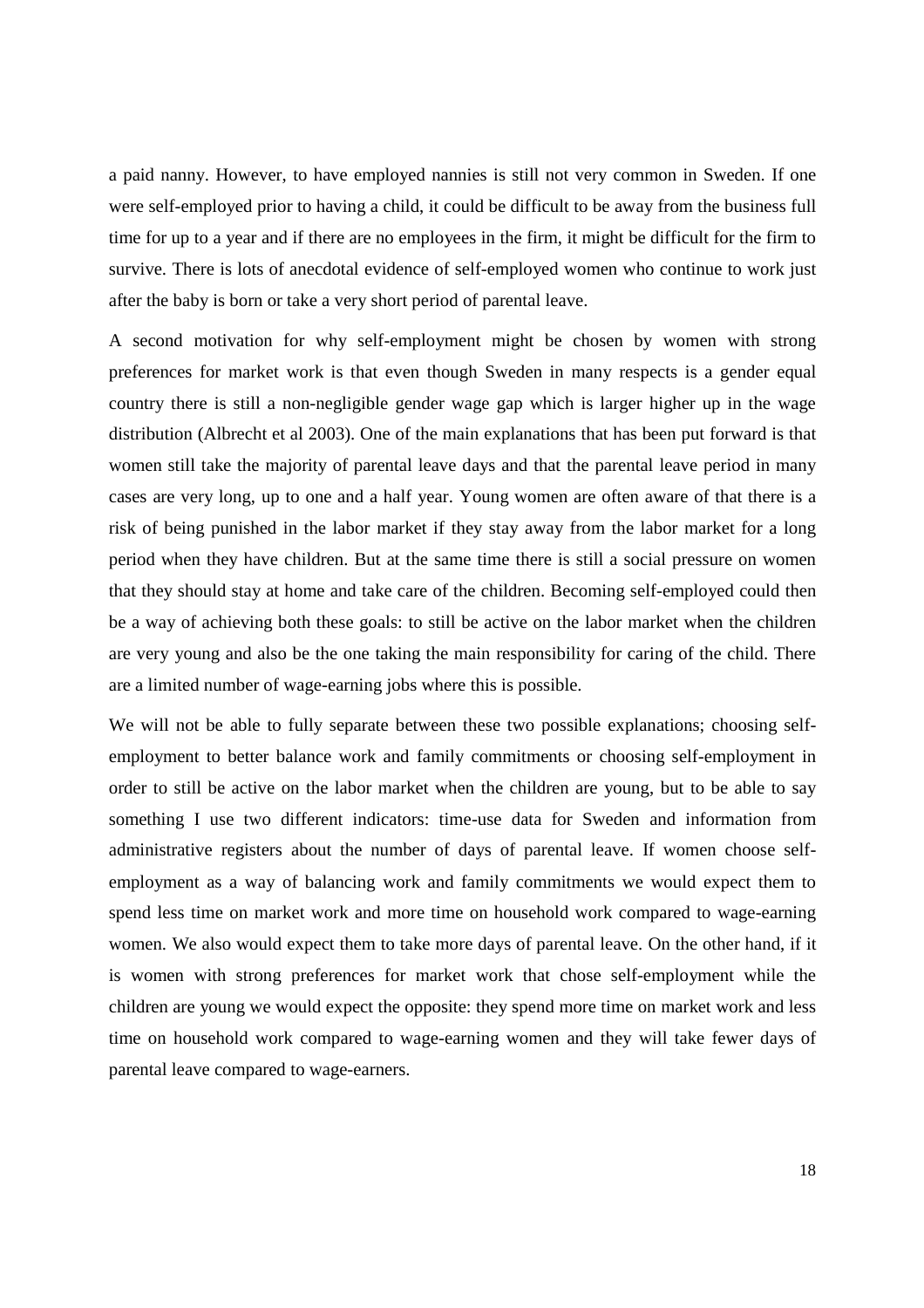a paid nanny. However, to have employed nannies is still not very common in Sweden. If one were self-employed prior to having a child, it could be difficult to be away from the business full time for up to a year and if there are no employees in the firm, it might be difficult for the firm to survive. There is lots of anecdotal evidence of self-employed women who continue to work just after the baby is born or take a very short period of parental leave.

A second motivation for why self-employment might be chosen by women with strong preferences for market work is that even though Sweden in many respects is a gender equal country there is still a non-negligible gender wage gap which is larger higher up in the wage distribution (Albrecht et al 2003). One of the main explanations that has been put forward is that women still take the majority of parental leave days and that the parental leave period in many cases are very long, up to one and a half year. Young women are often aware of that there is a risk of being punished in the labor market if they stay away from the labor market for a long period when they have children. But at the same time there is still a social pressure on women that they should stay at home and take care of the children. Becoming self-employed could then be a way of achieving both these goals: to still be active on the labor market when the children are very young and also be the one taking the main responsibility for caring of the child. There are a limited number of wage-earning jobs where this is possible.

We will not be able to fully separate between these two possible explanations; choosing selfemployment to better balance work and family commitments or choosing self-employment in order to still be active on the labor market when the children are young, but to be able to say something I use two different indicators: time-use data for Sweden and information from administrative registers about the number of days of parental leave. If women choose selfemployment as a way of balancing work and family commitments we would expect them to spend less time on market work and more time on household work compared to wage-earning women. We also would expect them to take more days of parental leave. On the other hand, if it is women with strong preferences for market work that chose self-employment while the children are young we would expect the opposite: they spend more time on market work and less time on household work compared to wage-earning women and they will take fewer days of parental leave compared to wage-earners.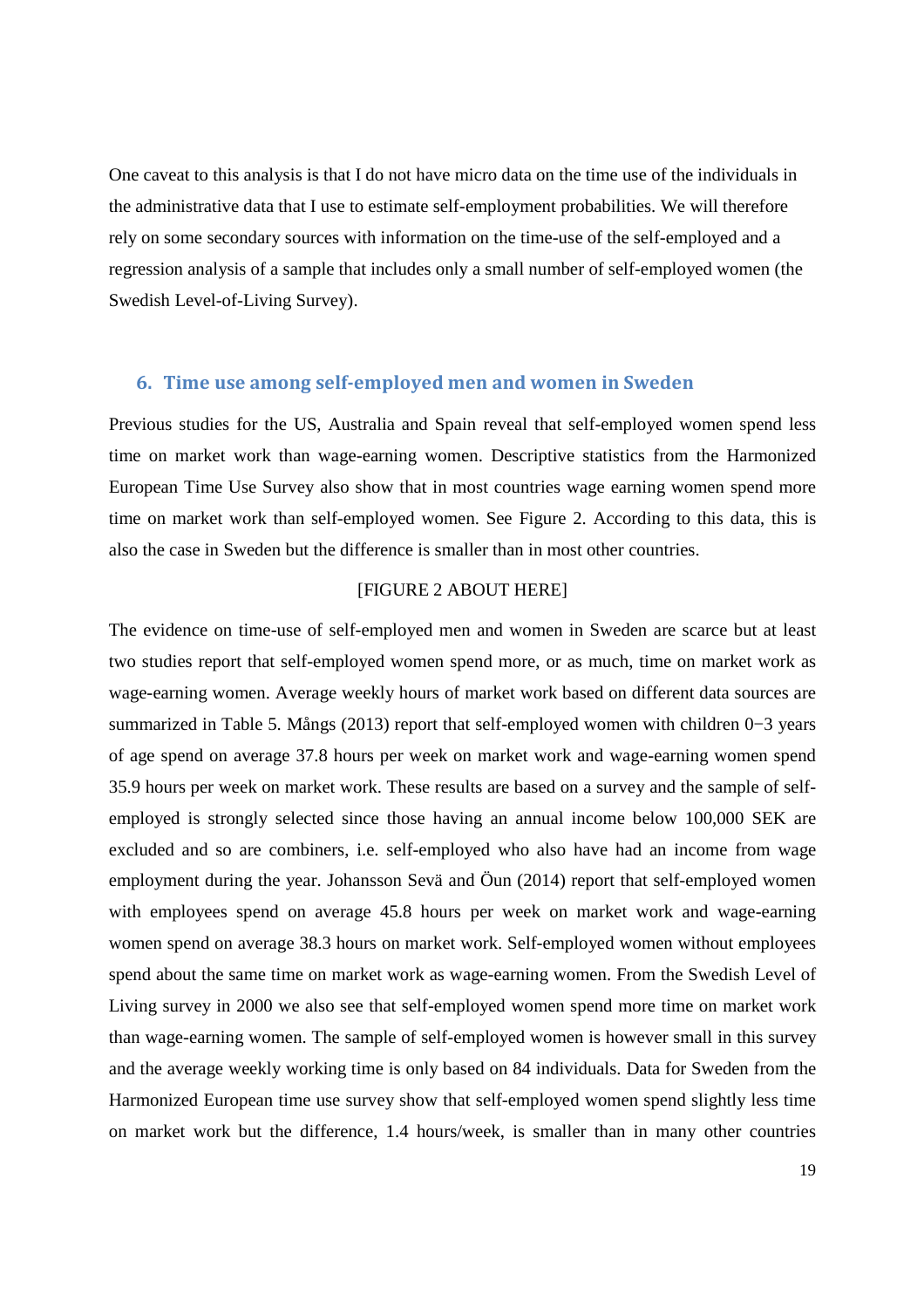One caveat to this analysis is that I do not have micro data on the time use of the individuals in the administrative data that I use to estimate self-employment probabilities. We will therefore rely on some secondary sources with information on the time-use of the self-employed and a regression analysis of a sample that includes only a small number of self-employed women (the Swedish Level-of-Living Survey).

## **6. Time use among self-employed men and women in Sweden**

Previous studies for the US, Australia and Spain reveal that self-employed women spend less time on market work than wage-earning women. Descriptive statistics from the Harmonized European Time Use Survey also show that in most countries wage earning women spend more time on market work than self-employed women. See Figure 2. According to this data, this is also the case in Sweden but the difference is smaller than in most other countries.

## [FIGURE 2 ABOUT HERE]

The evidence on time-use of self-employed men and women in Sweden are scarce but at least two studies report that self-employed women spend more, or as much, time on market work as wage-earning women. Average weekly hours of market work based on different data sources are summarized in Table 5. Mångs (2013) report that self-employed women with children 0−3 years of age spend on average 37.8 hours per week on market work and wage-earning women spend 35.9 hours per week on market work. These results are based on a survey and the sample of selfemployed is strongly selected since those having an annual income below 100,000 SEK are excluded and so are combiners, i.e. self-employed who also have had an income from wage employment during the year. Johansson Sevä and Öun (2014) report that self-employed women with employees spend on average 45.8 hours per week on market work and wage-earning women spend on average 38.3 hours on market work. Self-employed women without employees spend about the same time on market work as wage-earning women. From the Swedish Level of Living survey in 2000 we also see that self-employed women spend more time on market work than wage-earning women. The sample of self-employed women is however small in this survey and the average weekly working time is only based on 84 individuals. Data for Sweden from the Harmonized European time use survey show that self-employed women spend slightly less time on market work but the difference, 1.4 hours/week, is smaller than in many other countries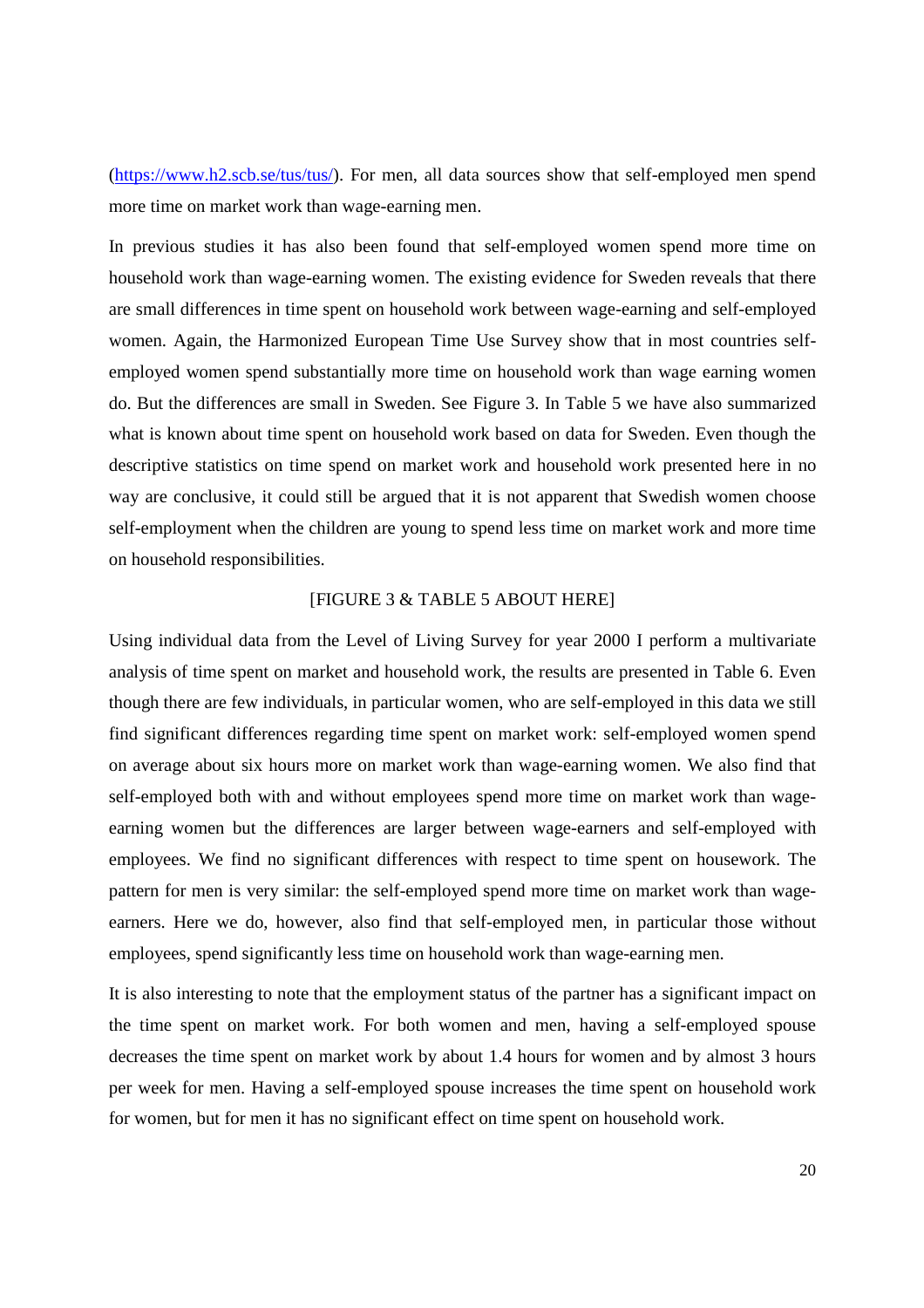(https://www.h2.scb.se/tus/tus/). For men, all data sources show that self-employed men spend more time on market work than wage-earning men.

In previous studies it has also been found that self-employed women spend more time on household work than wage-earning women. The existing evidence for Sweden reveals that there are small differences in time spent on household work between wage-earning and self-employed women. Again, the Harmonized European Time Use Survey show that in most countries selfemployed women spend substantially more time on household work than wage earning women do. But the differences are small in Sweden. See Figure 3. In Table 5 we have also summarized what is known about time spent on household work based on data for Sweden. Even though the descriptive statistics on time spend on market work and household work presented here in no way are conclusive, it could still be argued that it is not apparent that Swedish women choose self-employment when the children are young to spend less time on market work and more time on household responsibilities.

#### [FIGURE 3 & TABLE 5 ABOUT HERE]

Using individual data from the Level of Living Survey for year 2000 I perform a multivariate analysis of time spent on market and household work, the results are presented in Table 6. Even though there are few individuals, in particular women, who are self-employed in this data we still find significant differences regarding time spent on market work: self-employed women spend on average about six hours more on market work than wage-earning women. We also find that self-employed both with and without employees spend more time on market work than wageearning women but the differences are larger between wage-earners and self-employed with employees. We find no significant differences with respect to time spent on housework. The pattern for men is very similar: the self-employed spend more time on market work than wageearners. Here we do, however, also find that self-employed men, in particular those without employees, spend significantly less time on household work than wage-earning men.

It is also interesting to note that the employment status of the partner has a significant impact on the time spent on market work. For both women and men, having a self-employed spouse decreases the time spent on market work by about 1.4 hours for women and by almost 3 hours per week for men. Having a self-employed spouse increases the time spent on household work for women, but for men it has no significant effect on time spent on household work.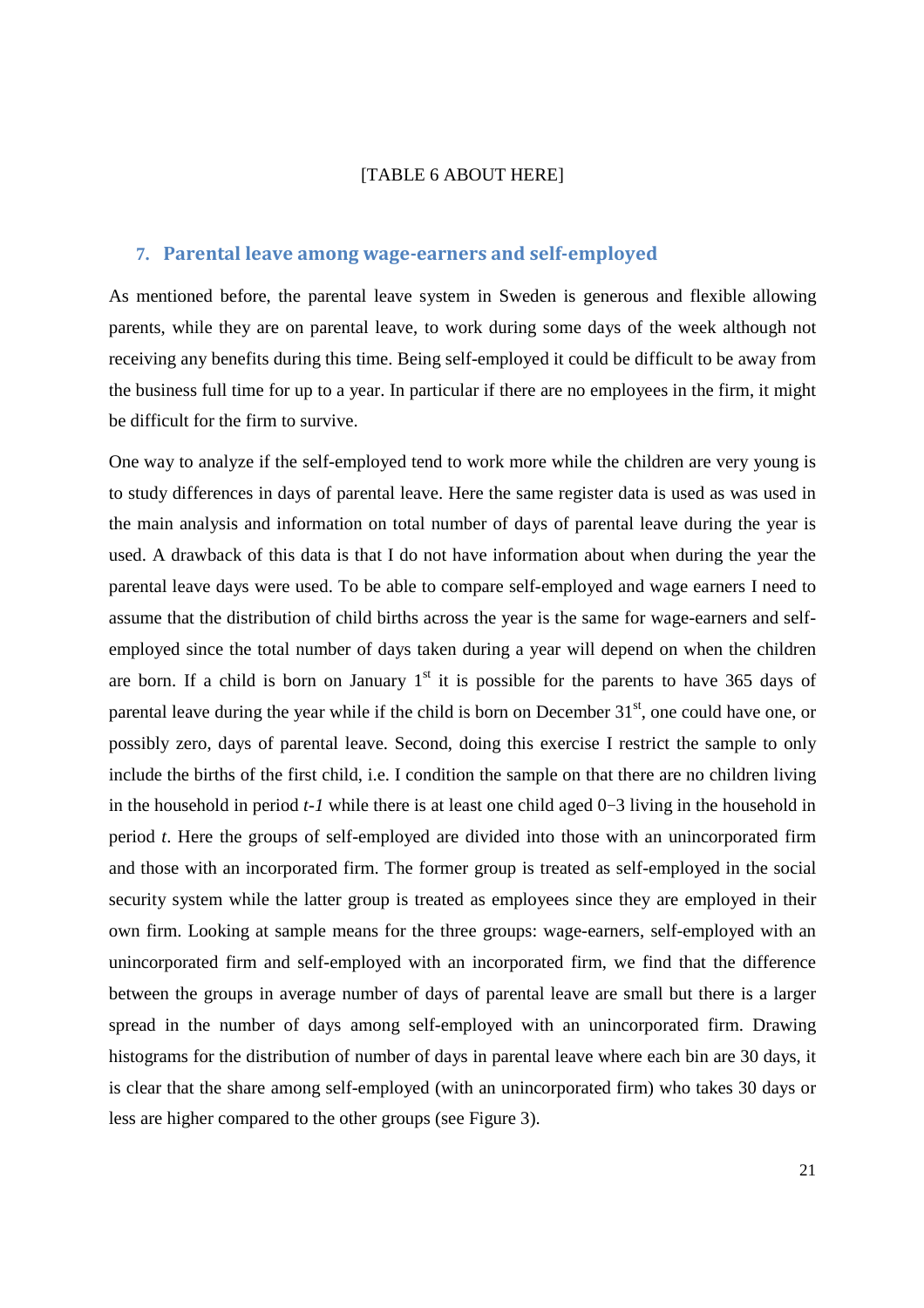#### [TABLE 6 ABOUT HERE]

### **7. Parental leave among wage-earners and self-employed**

As mentioned before, the parental leave system in Sweden is generous and flexible allowing parents, while they are on parental leave, to work during some days of the week although not receiving any benefits during this time. Being self-employed it could be difficult to be away from the business full time for up to a year. In particular if there are no employees in the firm, it might be difficult for the firm to survive.

One way to analyze if the self-employed tend to work more while the children are very young is to study differences in days of parental leave. Here the same register data is used as was used in the main analysis and information on total number of days of parental leave during the year is used. A drawback of this data is that I do not have information about when during the year the parental leave days were used. To be able to compare self-employed and wage earners I need to assume that the distribution of child births across the year is the same for wage-earners and selfemployed since the total number of days taken during a year will depend on when the children are born. If a child is born on January  $1<sup>st</sup>$  it is possible for the parents to have 365 days of parental leave during the year while if the child is born on December  $31<sup>st</sup>$ , one could have one, or possibly zero, days of parental leave. Second, doing this exercise I restrict the sample to only include the births of the first child, i.e. I condition the sample on that there are no children living in the household in period *t-1* while there is at least one child aged 0−3 living in the household in period *t*. Here the groups of self-employed are divided into those with an unincorporated firm and those with an incorporated firm. The former group is treated as self-employed in the social security system while the latter group is treated as employees since they are employed in their own firm. Looking at sample means for the three groups: wage-earners, self-employed with an unincorporated firm and self-employed with an incorporated firm, we find that the difference between the groups in average number of days of parental leave are small but there is a larger spread in the number of days among self-employed with an unincorporated firm. Drawing histograms for the distribution of number of days in parental leave where each bin are 30 days, it is clear that the share among self-employed (with an unincorporated firm) who takes 30 days or less are higher compared to the other groups (see Figure 3).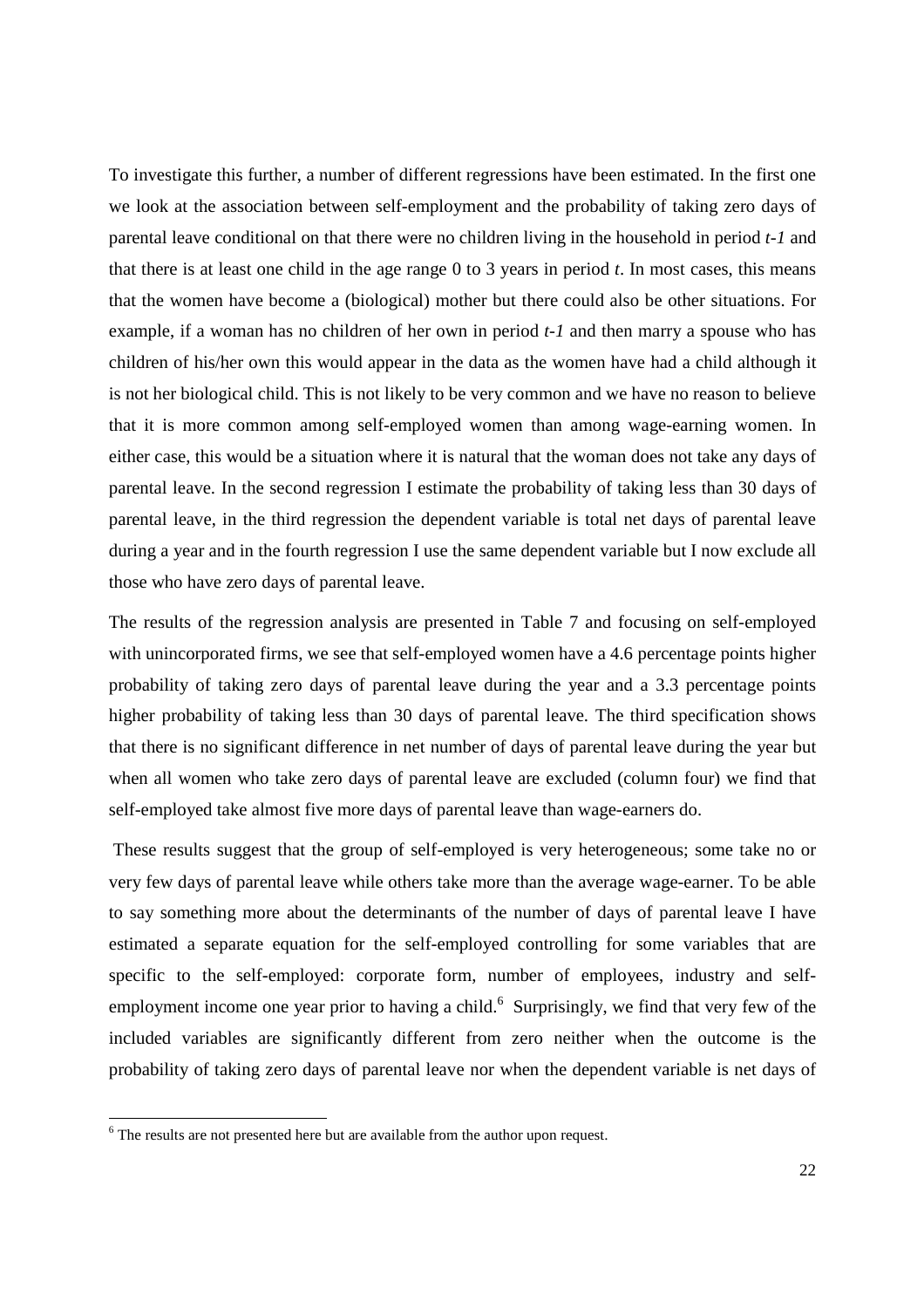To investigate this further, a number of different regressions have been estimated. In the first one we look at the association between self-employment and the probability of taking zero days of parental leave conditional on that there were no children living in the household in period *t-1* and that there is at least one child in the age range 0 to 3 years in period *t*. In most cases, this means that the women have become a (biological) mother but there could also be other situations. For example, if a woman has no children of her own in period *t-1* and then marry a spouse who has children of his/her own this would appear in the data as the women have had a child although it is not her biological child. This is not likely to be very common and we have no reason to believe that it is more common among self-employed women than among wage-earning women. In either case, this would be a situation where it is natural that the woman does not take any days of parental leave. In the second regression I estimate the probability of taking less than 30 days of parental leave, in the third regression the dependent variable is total net days of parental leave during a year and in the fourth regression I use the same dependent variable but I now exclude all those who have zero days of parental leave.

The results of the regression analysis are presented in Table 7 and focusing on self-employed with unincorporated firms, we see that self-employed women have a 4.6 percentage points higher probability of taking zero days of parental leave during the year and a 3.3 percentage points higher probability of taking less than 30 days of parental leave. The third specification shows that there is no significant difference in net number of days of parental leave during the year but when all women who take zero days of parental leave are excluded (column four) we find that self-employed take almost five more days of parental leave than wage-earners do.

 These results suggest that the group of self-employed is very heterogeneous; some take no or very few days of parental leave while others take more than the average wage-earner. To be able to say something more about the determinants of the number of days of parental leave I have estimated a separate equation for the self-employed controlling for some variables that are specific to the self-employed: corporate form, number of employees, industry and selfemployment income one year prior to having a child.<sup>6</sup> Surprisingly, we find that very few of the included variables are significantly different from zero neither when the outcome is the probability of taking zero days of parental leave nor when the dependent variable is net days of

<u>.</u>

<sup>&</sup>lt;sup>6</sup> The results are not presented here but are available from the author upon request.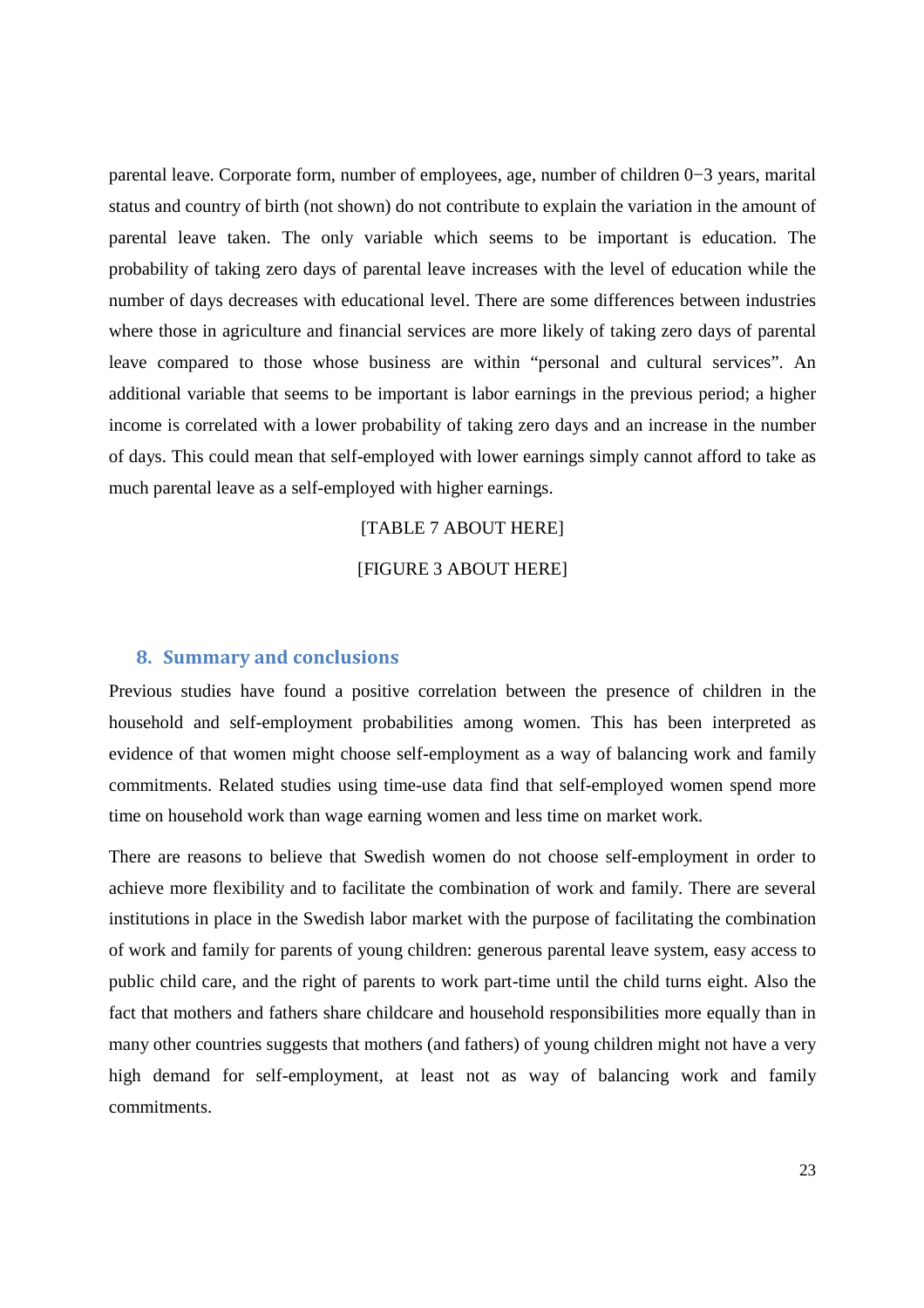parental leave. Corporate form, number of employees, age, number of children 0−3 years, marital status and country of birth (not shown) do not contribute to explain the variation in the amount of parental leave taken. The only variable which seems to be important is education. The probability of taking zero days of parental leave increases with the level of education while the number of days decreases with educational level. There are some differences between industries where those in agriculture and financial services are more likely of taking zero days of parental leave compared to those whose business are within "personal and cultural services". An additional variable that seems to be important is labor earnings in the previous period; a higher income is correlated with a lower probability of taking zero days and an increase in the number of days. This could mean that self-employed with lower earnings simply cannot afford to take as much parental leave as a self-employed with higher earnings.

### [TABLE 7 ABOUT HERE]

[FIGURE 3 ABOUT HERE]

### **8. Summary and conclusions**

Previous studies have found a positive correlation between the presence of children in the household and self-employment probabilities among women. This has been interpreted as evidence of that women might choose self-employment as a way of balancing work and family commitments. Related studies using time-use data find that self-employed women spend more time on household work than wage earning women and less time on market work.

There are reasons to believe that Swedish women do not choose self-employment in order to achieve more flexibility and to facilitate the combination of work and family. There are several institutions in place in the Swedish labor market with the purpose of facilitating the combination of work and family for parents of young children: generous parental leave system, easy access to public child care, and the right of parents to work part-time until the child turns eight. Also the fact that mothers and fathers share childcare and household responsibilities more equally than in many other countries suggests that mothers (and fathers) of young children might not have a very high demand for self-employment, at least not as way of balancing work and family commitments.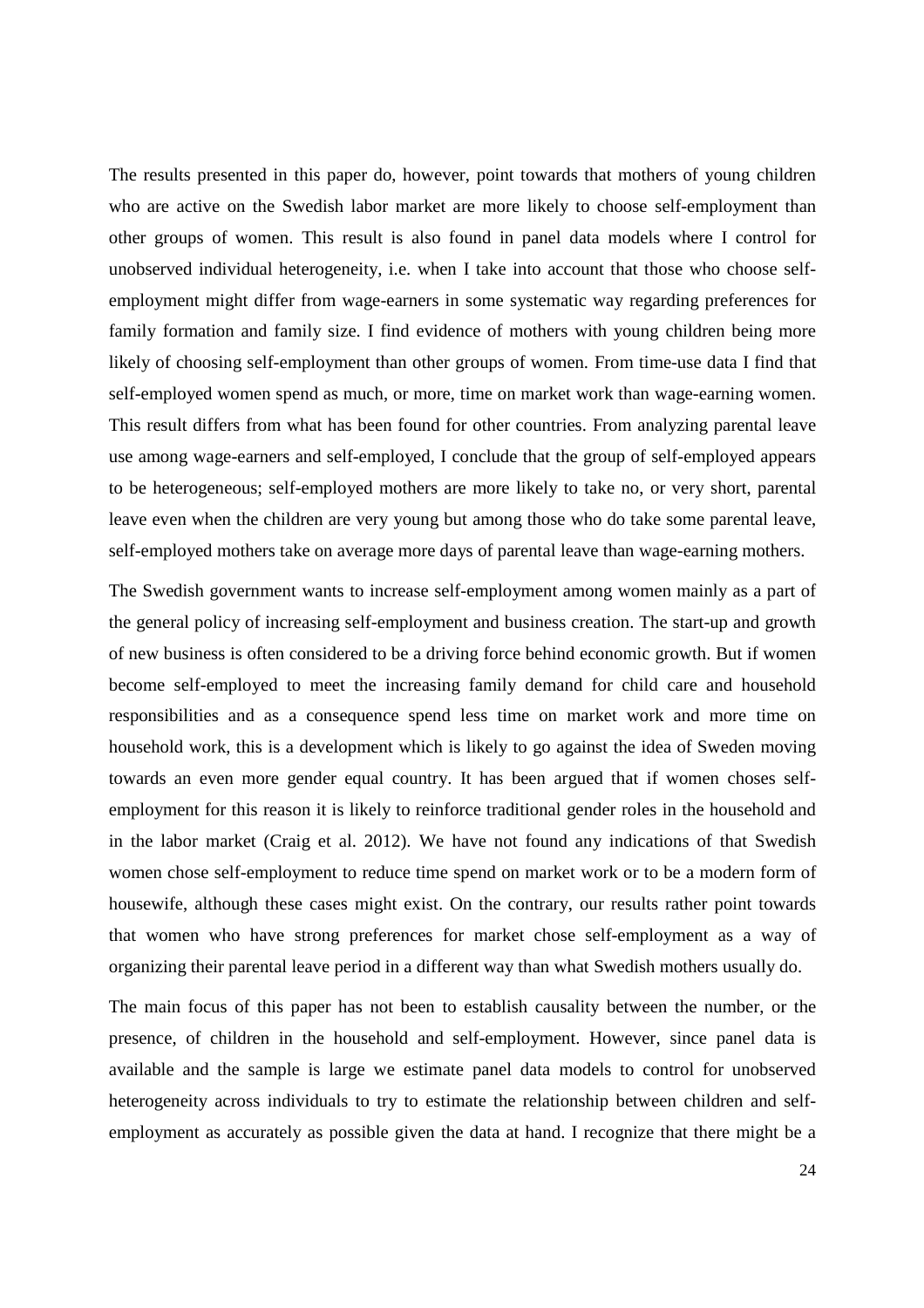The results presented in this paper do, however, point towards that mothers of young children who are active on the Swedish labor market are more likely to choose self-employment than other groups of women. This result is also found in panel data models where I control for unobserved individual heterogeneity, i.e. when I take into account that those who choose selfemployment might differ from wage-earners in some systematic way regarding preferences for family formation and family size. I find evidence of mothers with young children being more likely of choosing self-employment than other groups of women. From time-use data I find that self-employed women spend as much, or more, time on market work than wage-earning women. This result differs from what has been found for other countries. From analyzing parental leave use among wage-earners and self-employed, I conclude that the group of self-employed appears to be heterogeneous; self-employed mothers are more likely to take no, or very short, parental leave even when the children are very young but among those who do take some parental leave, self-employed mothers take on average more days of parental leave than wage-earning mothers.

The Swedish government wants to increase self-employment among women mainly as a part of the general policy of increasing self-employment and business creation. The start-up and growth of new business is often considered to be a driving force behind economic growth. But if women become self-employed to meet the increasing family demand for child care and household responsibilities and as a consequence spend less time on market work and more time on household work, this is a development which is likely to go against the idea of Sweden moving towards an even more gender equal country. It has been argued that if women choses selfemployment for this reason it is likely to reinforce traditional gender roles in the household and in the labor market (Craig et al. 2012). We have not found any indications of that Swedish women chose self-employment to reduce time spend on market work or to be a modern form of housewife, although these cases might exist. On the contrary, our results rather point towards that women who have strong preferences for market chose self-employment as a way of organizing their parental leave period in a different way than what Swedish mothers usually do.

The main focus of this paper has not been to establish causality between the number, or the presence, of children in the household and self-employment. However, since panel data is available and the sample is large we estimate panel data models to control for unobserved heterogeneity across individuals to try to estimate the relationship between children and selfemployment as accurately as possible given the data at hand. I recognize that there might be a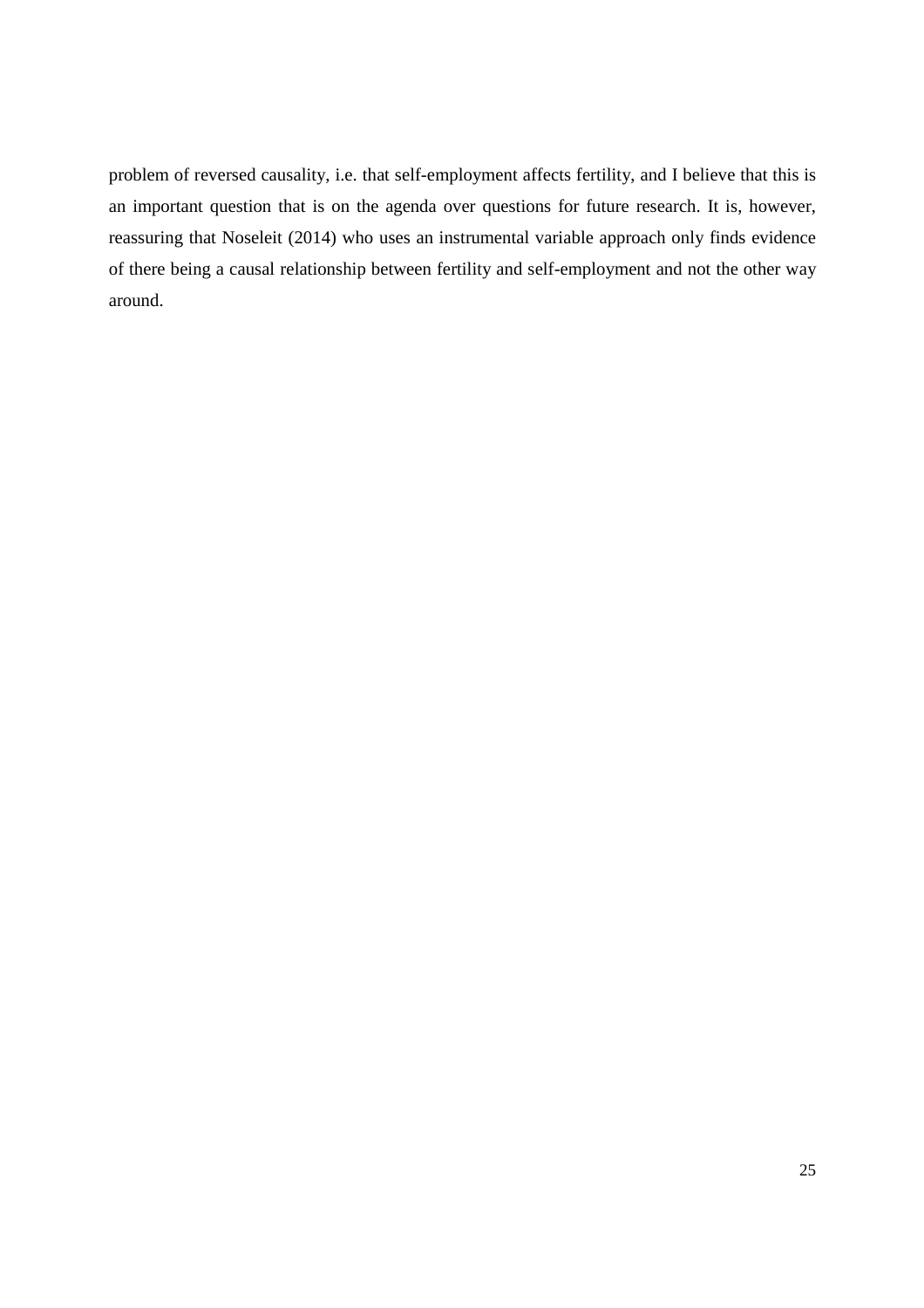problem of reversed causality, i.e. that self-employment affects fertility, and I believe that this is an important question that is on the agenda over questions for future research. It is, however, reassuring that Noseleit (2014) who uses an instrumental variable approach only finds evidence of there being a causal relationship between fertility and self-employment and not the other way around.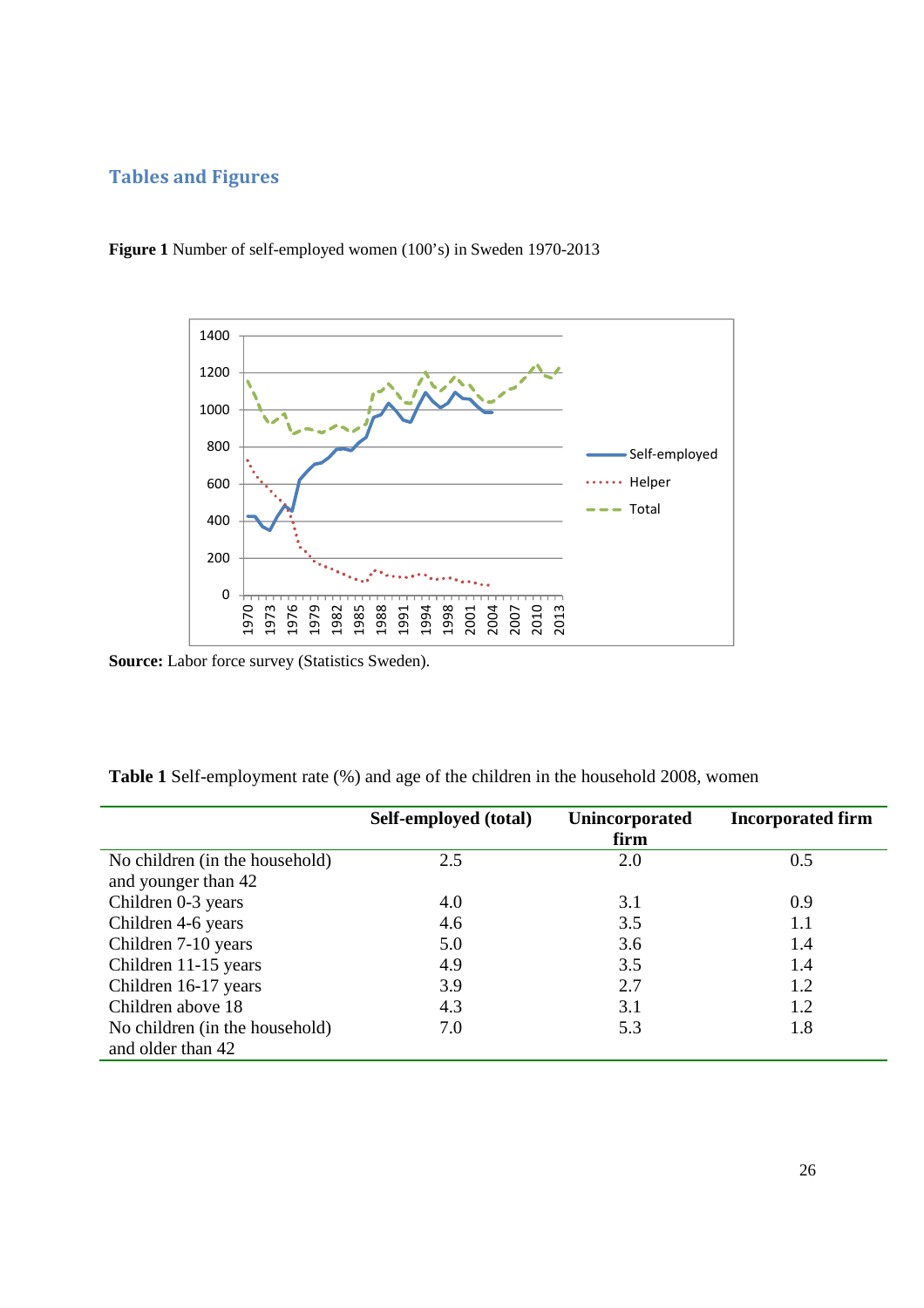## **Tables and Figures**



**Figure 1** Number of self-employed women (100's) in Sweden 1970-2013

**Source:** Labor force survey (Statistics Sweden).

| Table 1 Self-employment rate (%) and age of the children in the household 2008, women |  |  |  |
|---------------------------------------------------------------------------------------|--|--|--|
|---------------------------------------------------------------------------------------|--|--|--|

|                                | Self-employed (total) | <b>Unincorporated</b><br>firm | <b>Incorporated firm</b> |
|--------------------------------|-----------------------|-------------------------------|--------------------------|
| No children (in the household) | 2.5                   | 2.0                           | 0.5                      |
| and younger than 42            |                       |                               |                          |
| Children 0-3 years             | 4.0                   | 3.1                           | 0.9                      |
| Children 4-6 years             | 4.6                   | 3.5                           | 1.1                      |
| Children 7-10 years            | 5.0                   | 3.6                           | 1.4                      |
| Children 11-15 years           | 4.9                   | 3.5                           | 1.4                      |
| Children 16-17 years           | 3.9                   | 2.7                           | 1.2                      |
| Children above 18              | 4.3                   | 3.1                           | 1.2                      |
| No children (in the household) | 7.0                   | 5.3                           | 1.8                      |
| and older than 42              |                       |                               |                          |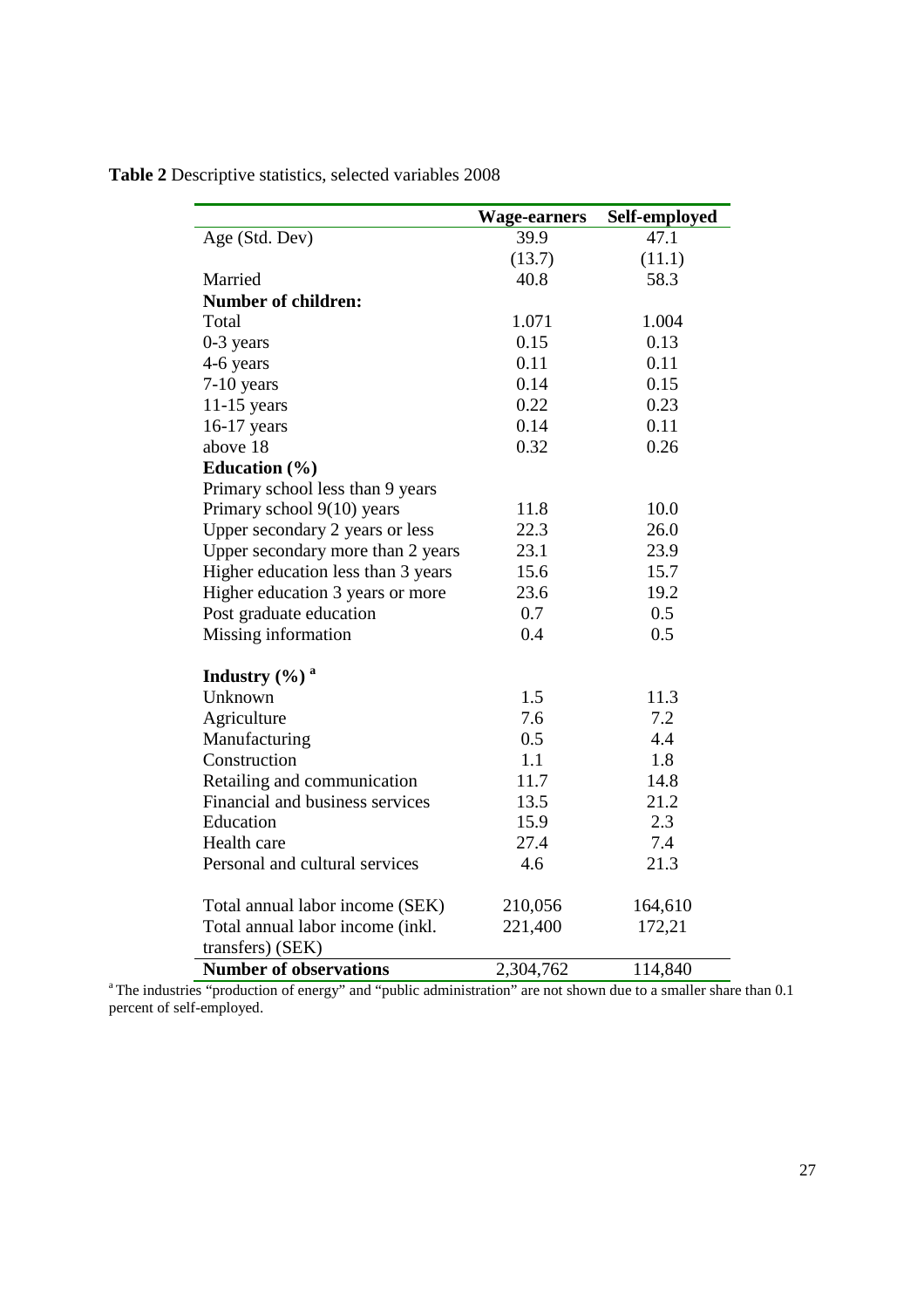|                                    | <b>Wage-earners</b> | Self-employed |
|------------------------------------|---------------------|---------------|
| Age (Std. Dev)                     | 39.9                | 47.1          |
|                                    | (13.7)              | (11.1)        |
| Married                            | 40.8                | 58.3          |
| <b>Number of children:</b>         |                     |               |
| Total                              | 1.071               | 1.004         |
| $0-3$ years                        | 0.15                | 0.13          |
| 4-6 years                          | 0.11                | 0.11          |
| $7-10$ years                       | 0.14                | 0.15          |
| $11-15$ years                      | 0.22                | 0.23          |
| 16-17 years                        | 0.14                | 0.11          |
| above 18                           | 0.32                | 0.26          |
| Education (%)                      |                     |               |
| Primary school less than 9 years   |                     |               |
| Primary school 9(10) years         | 11.8                | 10.0          |
| Upper secondary 2 years or less    | 22.3                | 26.0          |
| Upper secondary more than 2 years  | 23.1                | 23.9          |
| Higher education less than 3 years | 15.6                | 15.7          |
| Higher education 3 years or more   | 23.6                | 19.2          |
| Post graduate education            | 0.7                 | 0.5           |
| Missing information                | 0.4                 | 0.5           |
| Industry $(\%)$ <sup>a</sup>       |                     |               |
| Unknown                            | 1.5                 | 11.3          |
| Agriculture                        | 7.6                 | 7.2           |
| Manufacturing                      | 0.5                 | 4.4           |
| Construction                       | 1.1                 | 1.8           |
| Retailing and communication        | 11.7                | 14.8          |
| Financial and business services    | 13.5                | 21.2          |
| Education                          | 15.9                | 2.3           |
| Health care                        | 27.4                | 7.4           |
| Personal and cultural services     | 4.6                 | 21.3          |
| Total annual labor income (SEK)    | 210,056             | 164,610       |
| Total annual labor income (inkl.   | 221,400             | 172,21        |
| transfers) (SEK)                   |                     |               |
| <b>Number of observations</b>      | 2,304,762           | 114,840       |

<sup>a</sup>The industries "production of energy" and "public administration" are not shown due to a smaller share than 0.1 percent of self-employed.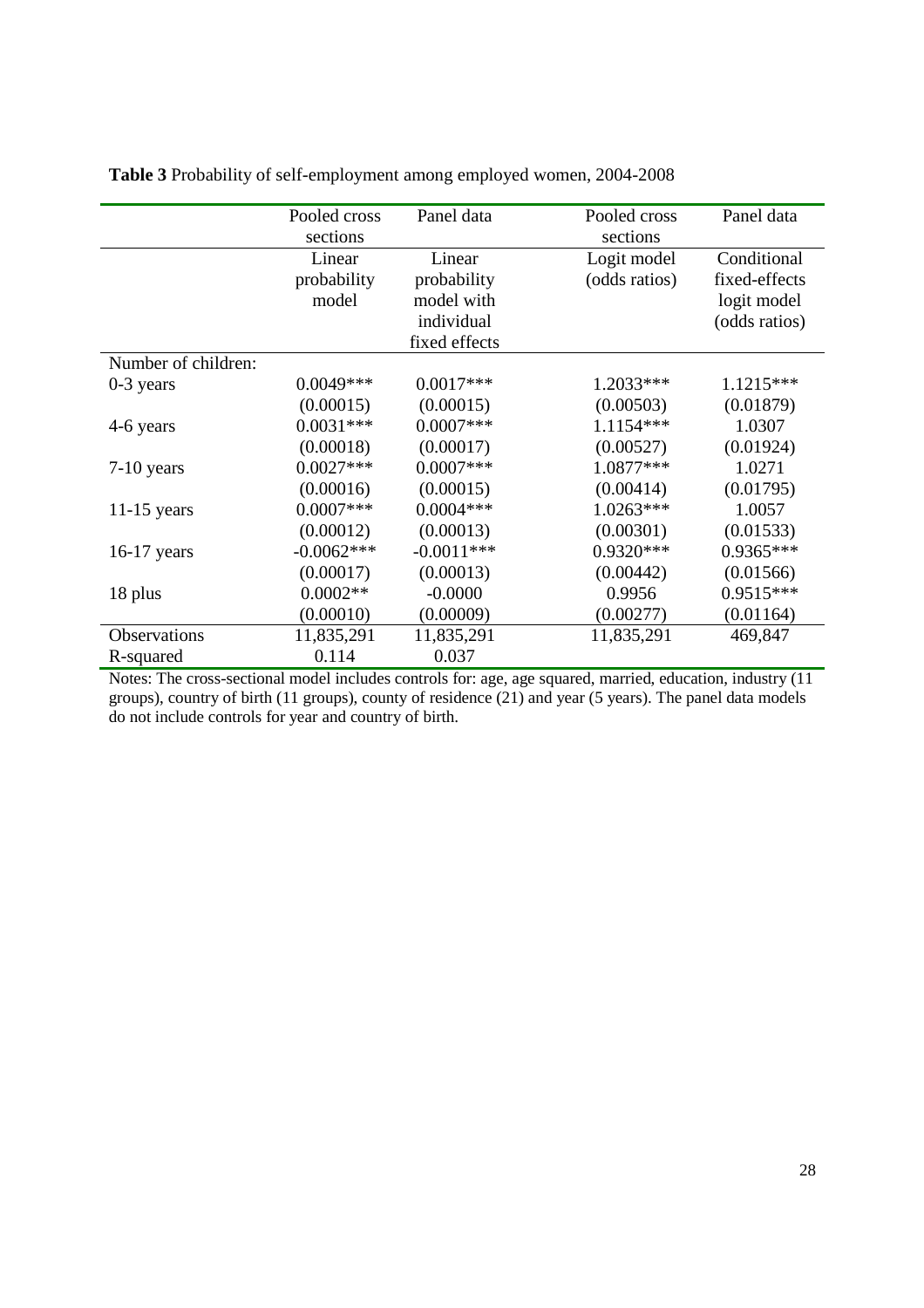|                     | Pooled cross | Panel data    | Pooled cross  | Panel data    |
|---------------------|--------------|---------------|---------------|---------------|
|                     | sections     |               | sections      |               |
|                     | Linear       | Linear        | Logit model   | Conditional   |
|                     | probability  | probability   | (odds ratios) | fixed-effects |
|                     | model        | model with    |               | logit model   |
|                     |              | individual    |               | (odds ratios) |
|                     |              | fixed effects |               |               |
| Number of children: |              |               |               |               |
| $0-3$ years         | $0.0049***$  | $0.0017***$   | 1.2033***     | $1.1215***$   |
|                     | (0.00015)    | (0.00015)     | (0.00503)     | (0.01879)     |
| 4-6 years           | $0.0031***$  | $0.0007$ ***  | 1.1154 ***    | 1.0307        |
|                     | (0.00018)    | (0.00017)     | (0.00527)     | (0.01924)     |
| $7-10$ years        | $0.0027***$  | $0.0007***$   | 1.0877***     | 1.0271        |
|                     | (0.00016)    | (0.00015)     | (0.00414)     | (0.01795)     |
| $11-15$ years       | $0.0007***$  | $0.0004***$   | $1.0263***$   | 1.0057        |
|                     | (0.00012)    | (0.00013)     | (0.00301)     | (0.01533)     |
| $16-17$ years       | $-0.0062***$ | $-0.0011***$  | $0.9320***$   | 0.9365***     |
|                     | (0.00017)    | (0.00013)     | (0.00442)     | (0.01566)     |
| 18 plus             | $0.0002**$   | $-0.0000$     | 0.9956        | 0.9515***     |
|                     | (0.00010)    | (0.00009)     | (0.00277)     | (0.01164)     |
| Observations        | 11,835,291   | 11,835,291    | 11,835,291    | 469,847       |
| R-squared           | 0.114        | 0.037         |               |               |

**Table 3** Probability of self-employment among employed women, 2004-2008

Notes: The cross-sectional model includes controls for: age, age squared, married, education, industry (11 groups), country of birth (11 groups), county of residence (21) and year (5 years). The panel data models do not include controls for year and country of birth.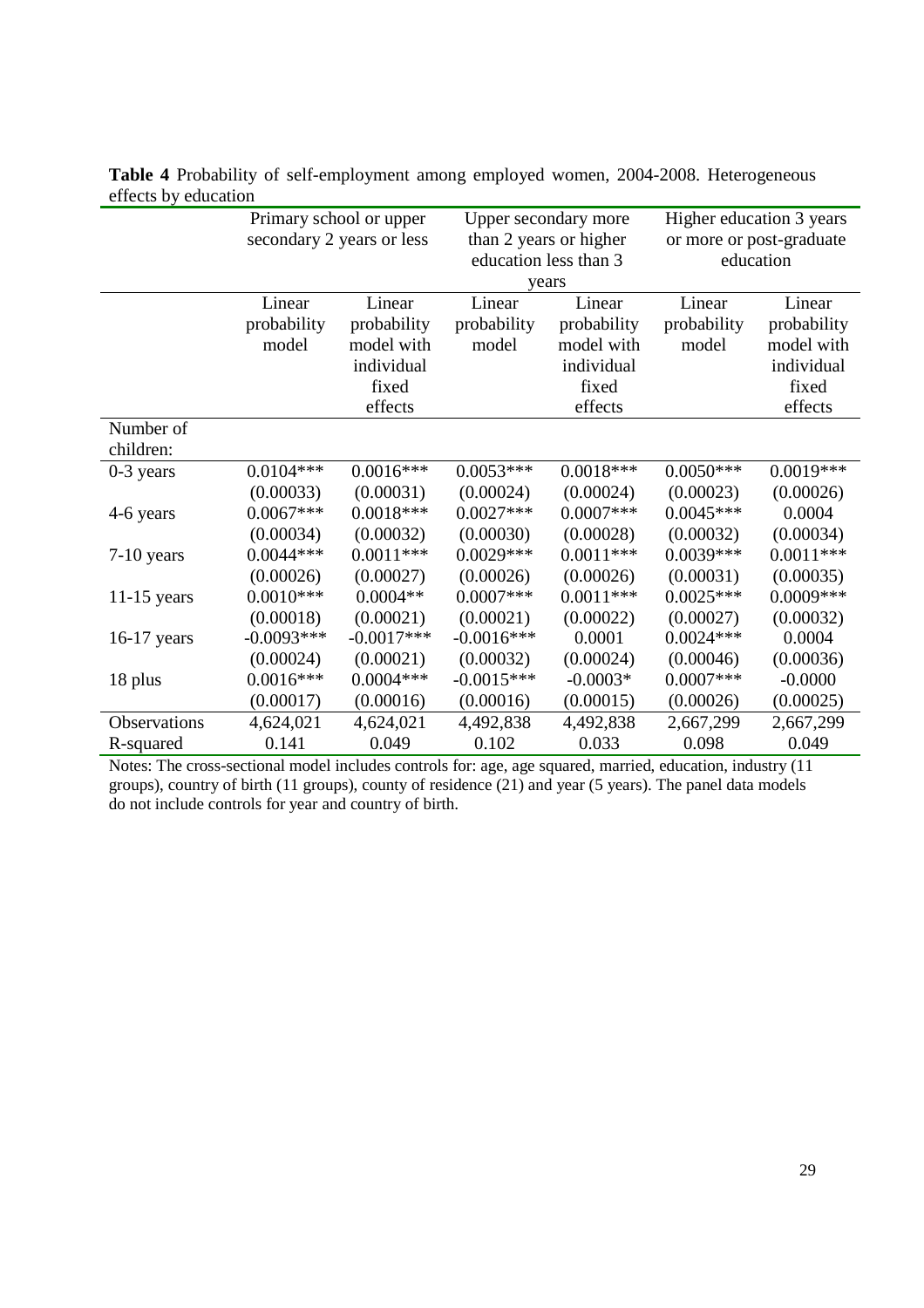|               | Primary school or upper |                           | Upper secondary more   |                       | Higher education 3 years |             |
|---------------|-------------------------|---------------------------|------------------------|-----------------------|--------------------------|-------------|
|               |                         | secondary 2 years or less | than 2 years or higher |                       | or more or post-graduate |             |
|               |                         |                           |                        | education less than 3 | education                |             |
|               |                         |                           |                        | years                 |                          |             |
|               | Linear                  | Linear                    | Linear                 | Linear                | Linear                   | Linear      |
|               | probability             | probability               | probability            | probability           | probability              | probability |
|               | model                   | model with                | model                  | model with            | model                    | model with  |
|               |                         | individual                |                        | individual            |                          | individual  |
|               |                         | fixed                     |                        | fixed                 |                          | fixed       |
|               |                         | effects                   |                        | effects               |                          | effects     |
| Number of     |                         |                           |                        |                       |                          |             |
| children:     |                         |                           |                        |                       |                          |             |
| $0-3$ years   | $0.0104***$             | $0.0016***$               | $0.0053***$            | $0.0018***$           | $0.0050***$              | $0.0019***$ |
|               | (0.00033)               | (0.00031)                 | (0.00024)              | (0.00024)             | (0.00023)                | (0.00026)   |
| 4-6 years     | $0.0067***$             | $0.0018***$               | $0.0027***$            | $0.0007***$           | $0.0045***$              | 0.0004      |
|               | (0.00034)               | (0.00032)                 | (0.00030)              | (0.00028)             | (0.00032)                | (0.00034)   |
| $7-10$ years  | $0.0044***$             | $0.0011***$               | $0.0029***$            | $0.0011***$           | $0.0039***$              | $0.0011***$ |
|               | (0.00026)               | (0.00027)                 | (0.00026)              | (0.00026)             | (0.00031)                | (0.00035)   |
| $11-15$ years | $0.0010***$             | $0.0004**$                | $0.0007***$            | $0.0011***$           | $0.0025***$              | $0.0009***$ |
|               | (0.00018)               | (0.00021)                 | (0.00021)              | (0.00022)             | (0.00027)                | (0.00032)   |
| $16-17$ years | $-0.0093***$            | $-0.0017***$              | $-0.0016***$           | 0.0001                | $0.0024***$              | 0.0004      |
|               | (0.00024)               | (0.00021)                 | (0.00032)              | (0.00024)             | (0.00046)                | (0.00036)   |
| 18 plus       | $0.0016***$             | $0.0004***$               | $-0.0015***$           | $-0.0003*$            | $0.0007***$              | $-0.0000$   |
|               | (0.00017)               | (0.00016)                 | (0.00016)              | (0.00015)             | (0.00026)                | (0.00025)   |
| Observations  | 4,624,021               | 4,624,021                 | 4,492,838              | 4,492,838             | 2,667,299                | 2,667,299   |
| R-squared     | 0.141                   | 0.049                     | 0.102                  | 0.033                 | 0.098                    | 0.049       |

**Table 4** Probability of self-employment among employed women, 2004-2008. Heterogeneous effects by education

Notes: The cross-sectional model includes controls for: age, age squared, married, education, industry (11 groups), country of birth (11 groups), county of residence (21) and year (5 years). The panel data models do not include controls for year and country of birth.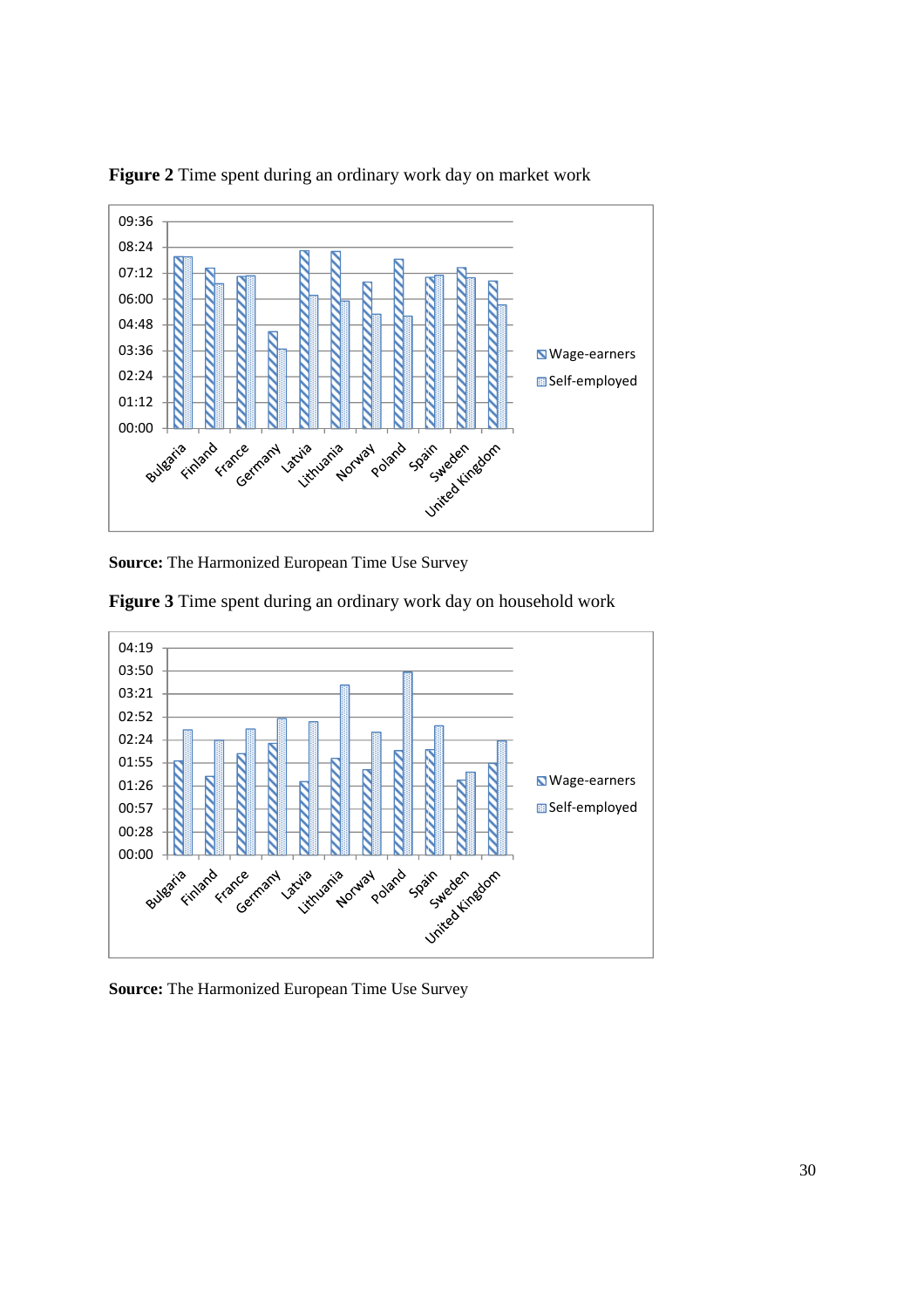

**Figure 2** Time spent during an ordinary work day on market work

**Source:** The Harmonized European Time Use Survey





**Source:** The Harmonized European Time Use Survey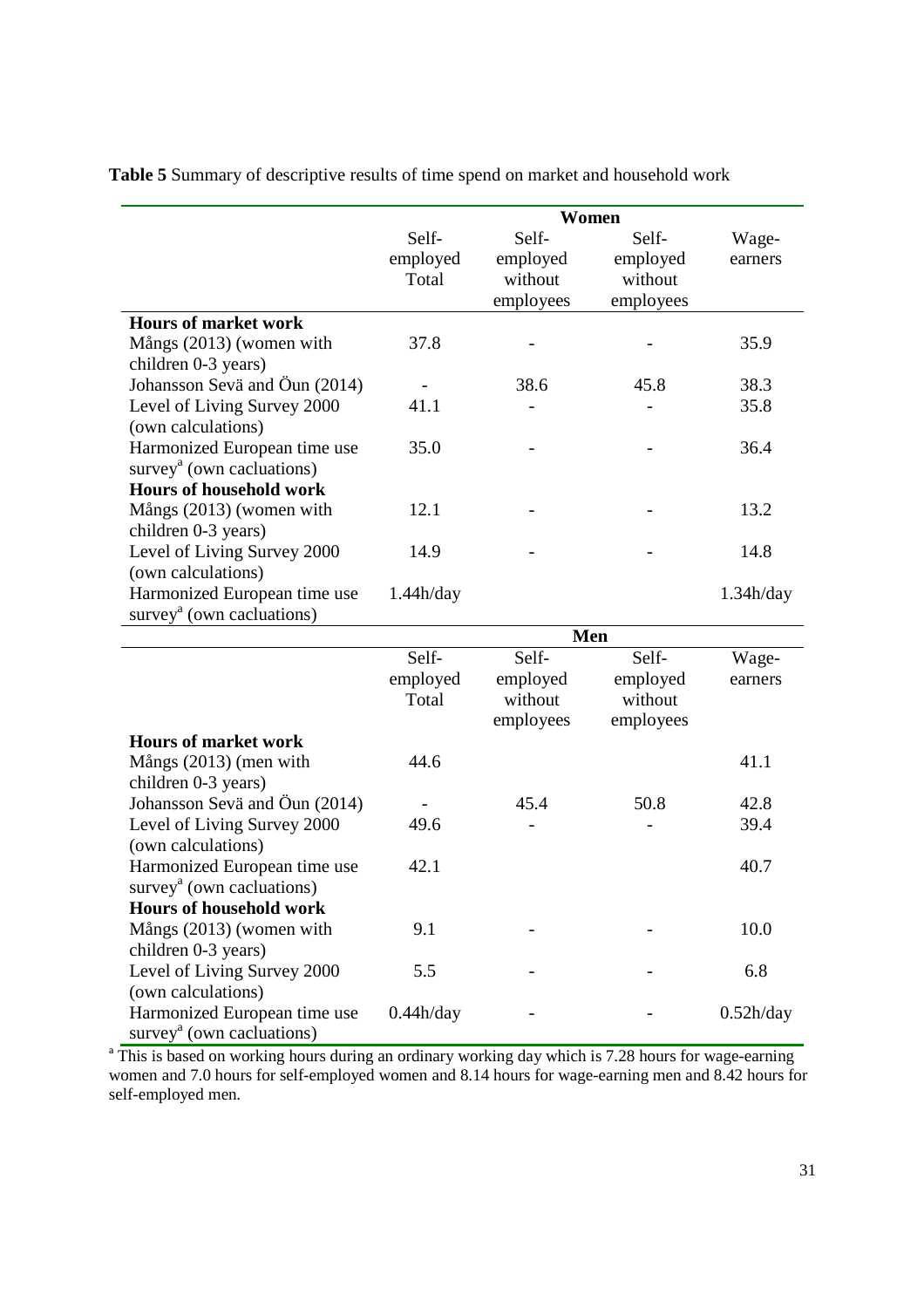**Table 5** Summary of descriptive results of time spend on market and household work

|                                                    | Women     |           |           |           |
|----------------------------------------------------|-----------|-----------|-----------|-----------|
|                                                    | Self-     | Self-     | Self-     | Wage-     |
|                                                    | employed  | employed  | employed  | earners   |
|                                                    | Total     | without   | without   |           |
|                                                    |           | employees | employees |           |
| <b>Hours of market work</b>                        |           |           |           |           |
| Mångs (2013) (women with                           | 37.8      |           |           | 35.9      |
| children 0-3 years)                                |           |           |           |           |
| Johansson Sevä and Öun (2014)                      |           | 38.6      | 45.8      | 38.3      |
| Level of Living Survey 2000                        | 41.1      |           |           | 35.8      |
| (own calculations)                                 |           |           |           |           |
| Harmonized European time use                       | 35.0      |           |           | 36.4      |
| survey <sup><math>a</math></sup> (own cacluations) |           |           |           |           |
| <b>Hours of household work</b>                     |           |           |           |           |
| Mångs (2013) (women with                           | 12.1      |           |           | 13.2      |
| children 0-3 years)                                |           |           |           |           |
| Level of Living Survey 2000                        | 14.9      |           |           | 14.8      |
| (own calculations)                                 |           |           |           |           |
| Harmonized European time use                       | 1.44h/day |           |           | 1.34h/day |
| survey <sup>a</sup> (own cacluations)              |           |           |           |           |
|                                                    |           |           |           |           |
|                                                    |           |           | Men       |           |
|                                                    | Self-     | Self-     | Self-     | Wage-     |
|                                                    | employed  | employed  | employed  | earners   |
|                                                    | Total     | without   | without   |           |
|                                                    |           | employees | employees |           |
| <b>Hours of market work</b>                        |           |           |           |           |
| Mångs (2013) (men with                             | 44.6      |           |           | 41.1      |
| children 0-3 years)                                |           |           |           |           |
| Johansson Sevä and Öun (2014)                      |           | 45.4      | 50.8      | 42.8      |
| Level of Living Survey 2000                        | 49.6      |           |           | 39.4      |
| (own calculations)                                 |           |           |           |           |
| Harmonized European time use                       | 42.1      |           |           | 40.7      |
| survey <sup><math>a</math></sup> (own cacluations) |           |           |           |           |
| <b>Hours of household work</b>                     |           |           |           |           |
| Mångs (2013) (women with                           | 9.1       |           |           | 10.0      |
| children 0-3 years)                                |           |           |           |           |
| Level of Living Survey 2000                        | 5.5       |           |           | 6.8       |
| (own calculations)<br>Harmonized European time use | 0.44h/day |           |           | 0.52h/day |

<sup>a</sup> This is based on working hours during an ordinary working day which is 7.28 hours for wage-earning women and 7.0 hours for self-employed women and 8.14 hours for wage-earning men and 8.42 hours for self-employed men.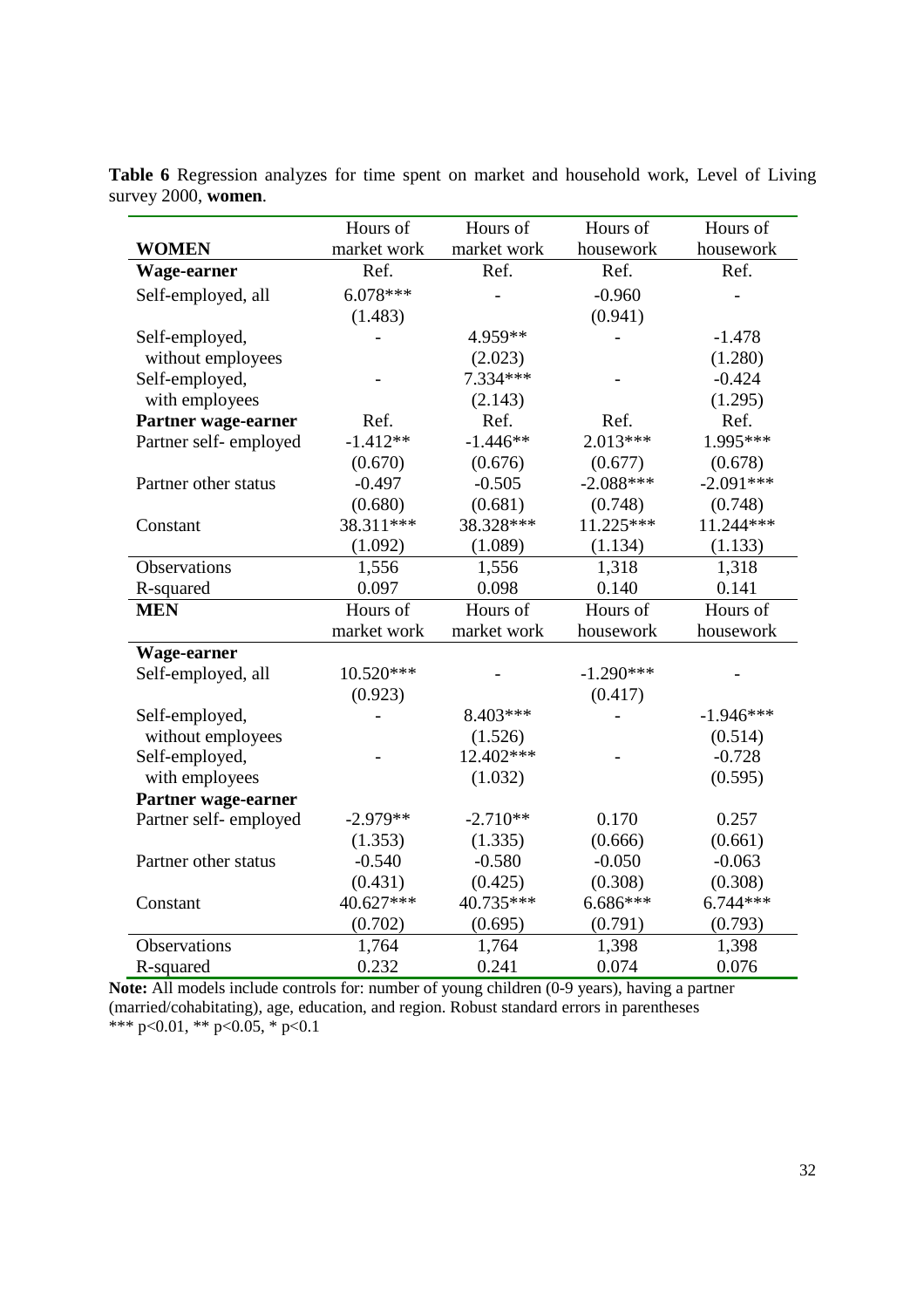|                       | Hours of    | Hours of    | Hours of    | Hours of    |
|-----------------------|-------------|-------------|-------------|-------------|
| <b>WOMEN</b>          | market work | market work | housework   | housework   |
| Wage-earner           | Ref.        | Ref.        | Ref.        | Ref.        |
| Self-employed, all    | $6.078***$  |             | $-0.960$    |             |
|                       | (1.483)     |             | (0.941)     |             |
| Self-employed,        |             | 4.959**     |             | $-1.478$    |
| without employees     |             | (2.023)     |             | (1.280)     |
| Self-employed,        |             | 7.334***    |             | $-0.424$    |
| with employees        |             | (2.143)     |             | (1.295)     |
| Partner wage-earner   | Ref.        | Ref.        | Ref.        | Ref.        |
| Partner self-employed | $-1.412**$  | $-1.446**$  | $2.013***$  | 1.995***    |
|                       | (0.670)     | (0.676)     | (0.677)     | (0.678)     |
| Partner other status  | $-0.497$    | $-0.505$    | $-2.088***$ | $-2.091***$ |
|                       | (0.680)     | (0.681)     | (0.748)     | (0.748)     |
| Constant              | 38.311***   | 38.328***   | $11.225***$ | 11.244***   |
|                       | (1.092)     | (1.089)     | (1.134)     | (1.133)     |
| Observations          | 1,556       | 1,556       | 1,318       | 1,318       |
| R-squared             | 0.097       | 0.098       | 0.140       | 0.141       |
| <b>MEN</b>            | Hours of    | Hours of    | Hours of    | Hours of    |
|                       | market work | market work | housework   | housework   |
| Wage-earner           |             |             |             |             |
| Self-employed, all    | 10.520***   |             | $-1.290***$ |             |
|                       | (0.923)     |             | (0.417)     |             |
| Self-employed,        |             | 8.403***    |             | $-1.946***$ |
| without employees     |             | (1.526)     |             | (0.514)     |
| Self-employed,        |             | 12.402***   |             | $-0.728$    |
| with employees        |             | (1.032)     |             | (0.595)     |
| Partner wage-earner   |             |             |             |             |
| Partner self-employed | $-2.979**$  | $-2.710**$  | 0.170       | 0.257       |
|                       | (1.353)     | (1.335)     | (0.666)     | (0.661)     |
| Partner other status  | $-0.540$    | $-0.580$    | $-0.050$    | $-0.063$    |
|                       | (0.431)     | (0.425)     | (0.308)     | (0.308)     |
| Constant              | 40.627***   | 40.735***   | 6.686***    | $6.744***$  |
|                       | (0.702)     | (0.695)     | (0.791)     | (0.793)     |
| <b>Observations</b>   | 1,764       | 1,764       | 1,398       | 1,398       |
| R-squared             | 0.232       | 0.241       | 0.074       | 0.076       |

**Table 6** Regression analyzes for time spent on market and household work, Level of Living survey 2000, **women**.

**Note:** All models include controls for: number of young children (0-9 years), having a partner (married/cohabitating), age, education, and region. Robust standard errors in parentheses \*\*\* p<0.01, \*\* p<0.05, \* p<0.1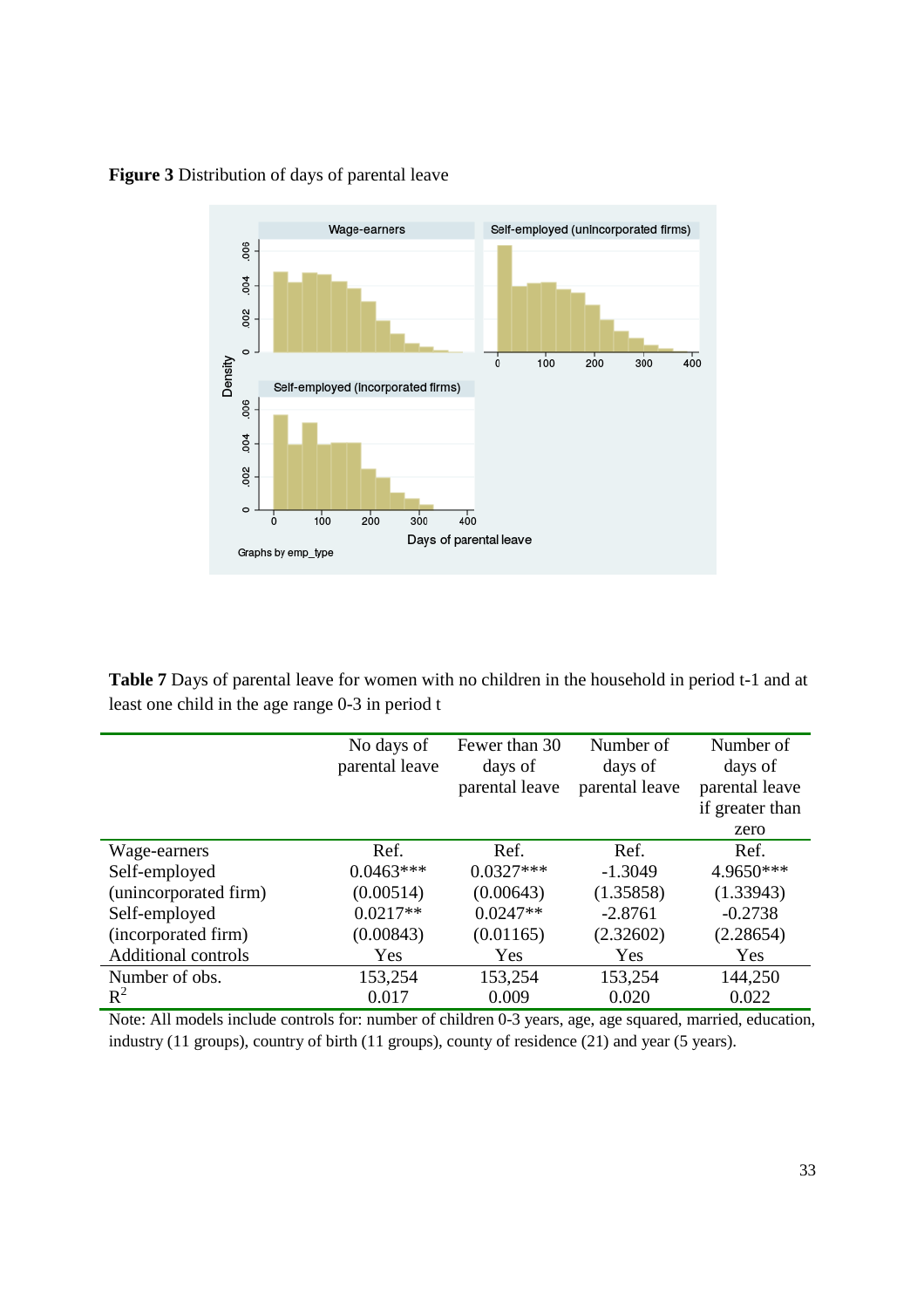

## **Figure 3** Distribution of days of parental leave

**Table 7** Days of parental leave for women with no children in the household in period t-1 and at least one child in the age range 0-3 in period t

|                            | No days of     | Fewer than 30  | Number of      | Number of       |
|----------------------------|----------------|----------------|----------------|-----------------|
|                            | parental leave | days of        | days of        | days of         |
|                            |                | parental leave | parental leave | parental leave  |
|                            |                |                |                | if greater than |
|                            |                |                |                | zero            |
| Wage-earners               | Ref.           | Ref.           | Ref.           | Ref.            |
| Self-employed              | $0.0463***$    | $0.0327***$    | $-1.3049$      | 4.9650***       |
| (unincorporated firm)      | (0.00514)      | (0.00643)      | (1.35858)      | (1.33943)       |
| Self-employed              | $0.0217**$     | $0.0247**$     | $-2.8761$      | $-0.2738$       |
| (incorporated firm)        | (0.00843)      | (0.01165)      | (2.32602)      | (2.28654)       |
| <b>Additional controls</b> | Yes            | Yes            | Yes            | Yes             |
| Number of obs.             | 153,254        | 153,254        | 153,254        | 144,250         |
| $R^2$                      | 0.017          | 0.009          | 0.020          | 0.022           |

Note: All models include controls for: number of children 0-3 years, age, age squared, married, education, industry (11 groups), country of birth (11 groups), county of residence (21) and year (5 years).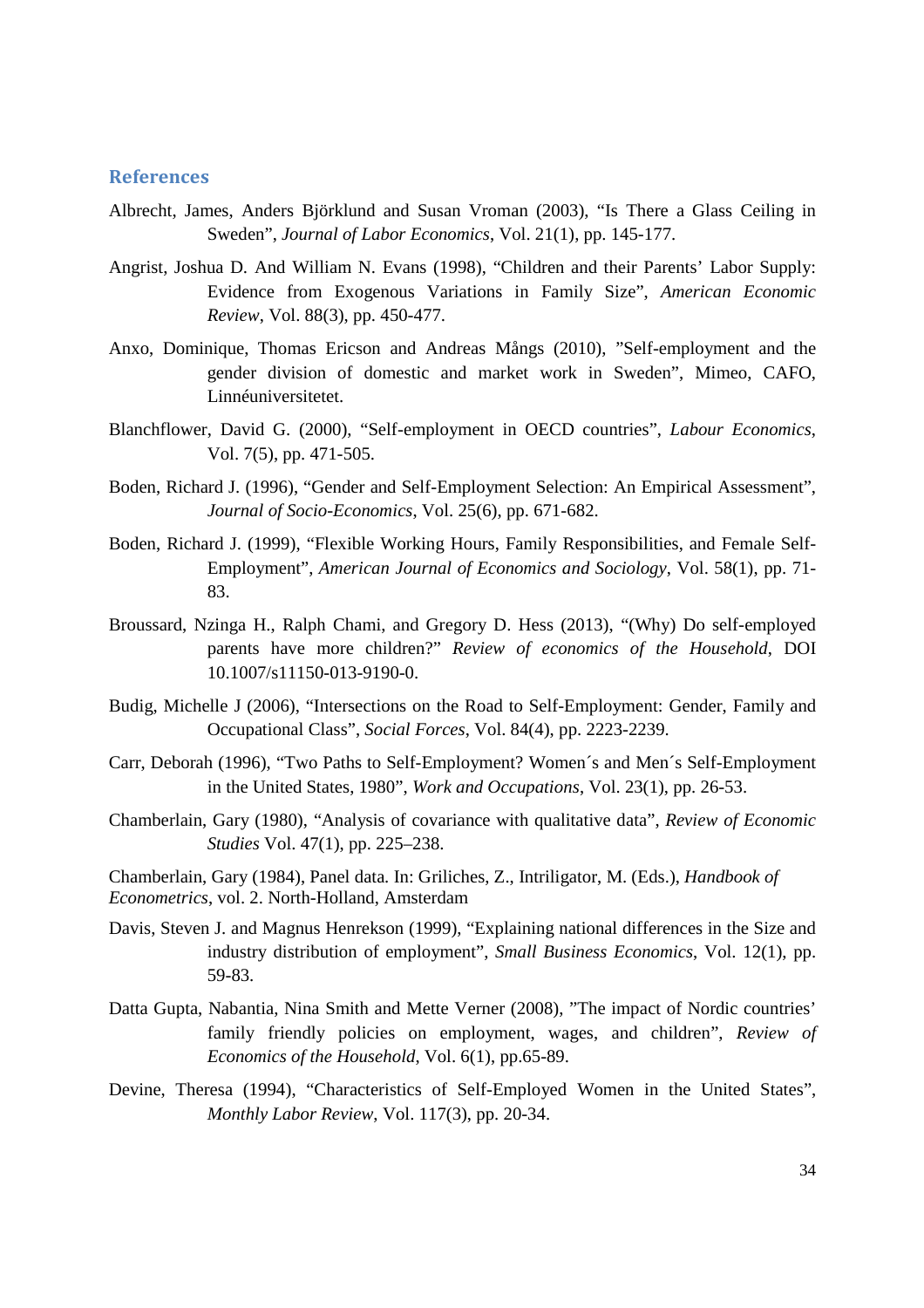#### **References**

- Albrecht, James, Anders Björklund and Susan Vroman (2003), "Is There a Glass Ceiling in Sweden", *Journal of Labor Economics*, Vol. 21(1), pp. 145-177.
- Angrist, Joshua D. And William N. Evans (1998), "Children and their Parents' Labor Supply: Evidence from Exogenous Variations in Family Size", *American Economic Review*, Vol. 88(3), pp. 450-477.
- Anxo, Dominique, Thomas Ericson and Andreas Mångs (2010), "Self-employment and the gender division of domestic and market work in Sweden", Mimeo, CAFO, Linnéuniversitetet.
- Blanchflower, David G. (2000), "Self-employment in OECD countries", *Labour Economics*, Vol. 7(5), pp. 471-505.
- Boden, Richard J. (1996), "Gender and Self-Employment Selection: An Empirical Assessment", *Journal of Socio-Economics*, Vol. 25(6), pp. 671-682.
- Boden, Richard J. (1999), "Flexible Working Hours, Family Responsibilities, and Female Self-Employment", *American Journal of Economics and Sociology*, Vol. 58(1), pp. 71- 83.
- Broussard, Nzinga H., Ralph Chami, and Gregory D. Hess (2013), "(Why) Do self-employed parents have more children?" *Review of economics of the Household*, DOI 10.1007/s11150-013-9190-0.
- Budig, Michelle J (2006), "Intersections on the Road to Self-Employment: Gender, Family and Occupational Class", *Social Forces*, Vol. 84(4), pp. 2223-2239.
- Carr, Deborah (1996), "Two Paths to Self-Employment? Women´s and Men´s Self-Employment in the United States, 1980", *Work and Occupations*, Vol. 23(1), pp. 26-53.
- Chamberlain, Gary (1980), "Analysis of covariance with qualitative data", *Review of Economic Studies* Vol. 47(1), pp. 225–238.
- Chamberlain, Gary (1984), Panel data. In: Griliches, Z., Intriligator, M. (Eds.), *Handbook of Econometrics*, vol. 2. North-Holland, Amsterdam
- Davis, Steven J. and Magnus Henrekson (1999), "Explaining national differences in the Size and industry distribution of employment", *Small Business Economics*, Vol. 12(1), pp. 59-83.
- Datta Gupta, Nabantia, Nina Smith and Mette Verner (2008), "The impact of Nordic countries' family friendly policies on employment, wages, and children", *Review of Economics of the Household*, Vol. 6(1), pp.65-89.
- Devine, Theresa (1994), "Characteristics of Self-Employed Women in the United States", *Monthly Labor Review*, Vol. 117(3), pp. 20-34.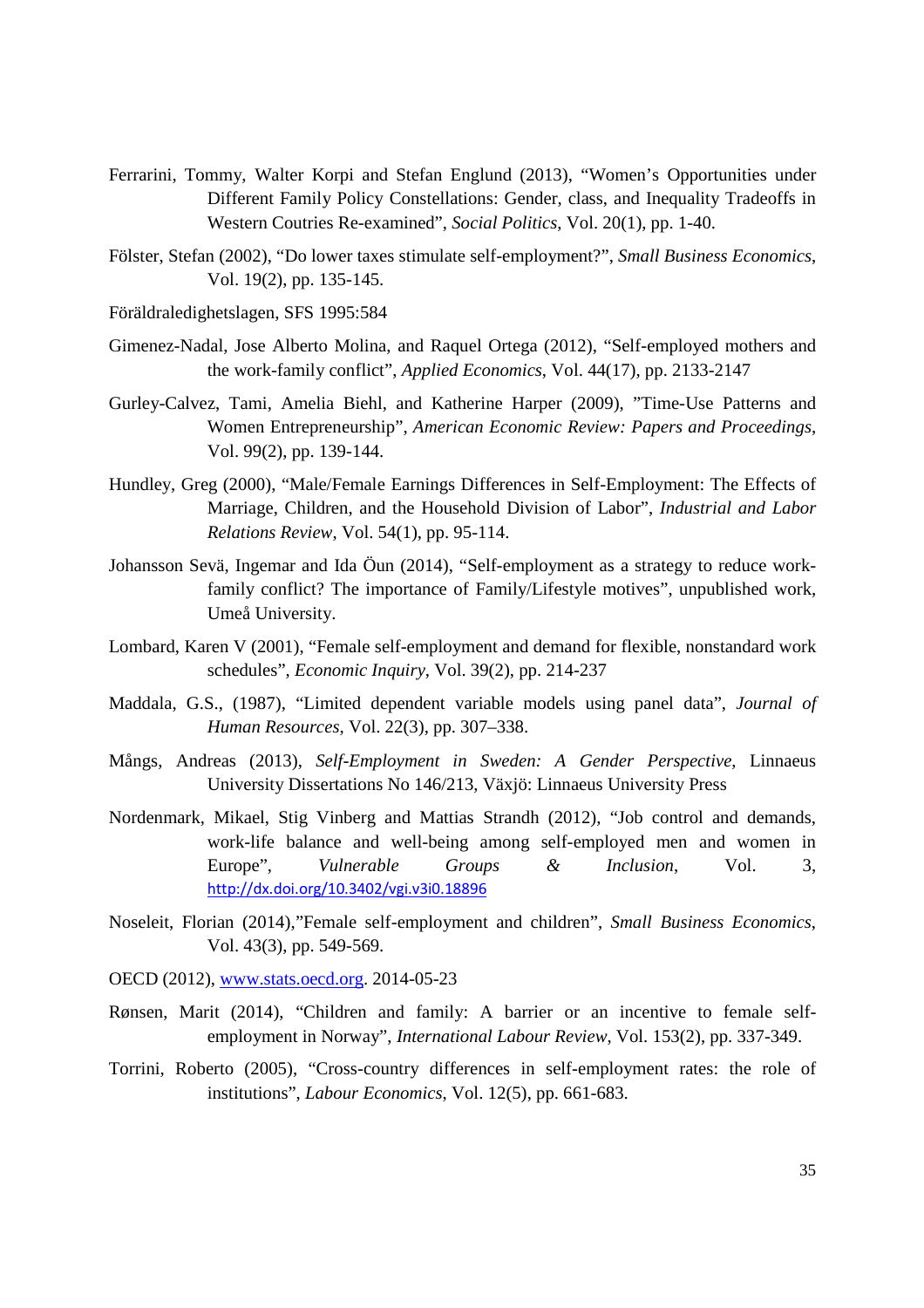- Ferrarini, Tommy, Walter Korpi and Stefan Englund (2013), "Women's Opportunities under Different Family Policy Constellations: Gender, class, and Inequality Tradeoffs in Western Coutries Re-examined", *Social Politics*, Vol. 20(1), pp. 1-40.
- Fölster, Stefan (2002), "Do lower taxes stimulate self-employment?", *Small Business Economics*, Vol. 19(2), pp. 135-145.
- Föräldraledighetslagen, SFS 1995:584
- Gimenez-Nadal, Jose Alberto Molina, and Raquel Ortega (2012), "Self-employed mothers and the work-family conflict", *Applied Economics*, Vol. 44(17), pp. 2133-2147
- Gurley-Calvez, Tami, Amelia Biehl, and Katherine Harper (2009), "Time-Use Patterns and Women Entrepreneurship", *American Economic Review: Papers and Proceedings*, Vol. 99(2), pp. 139-144.
- Hundley, Greg (2000), "Male/Female Earnings Differences in Self-Employment: The Effects of Marriage, Children, and the Household Division of Labor", *Industrial and Labor Relations Review*, Vol. 54(1), pp. 95-114.
- Johansson Sevä, Ingemar and Ida Öun (2014), "Self-employment as a strategy to reduce workfamily conflict? The importance of Family/Lifestyle motives", unpublished work, Umeå University.
- Lombard, Karen V (2001), "Female self-employment and demand for flexible, nonstandard work schedules", *Economic Inquiry*, Vol. 39(2), pp. 214-237
- Maddala, G.S., (1987), "Limited dependent variable models using panel data", *Journal of Human Resources*, Vol. 22(3), pp. 307–338.
- Mångs, Andreas (2013), *Self-Employment in Sweden: A Gender Perspective*, Linnaeus University Dissertations No 146/213, Växjö: Linnaeus University Press
- Nordenmark, Mikael, Stig Vinberg and Mattias Strandh (2012), "Job control and demands, work-life balance and well-being among self-employed men and women in Europe", *Vulnerable Groups & Inclusion*, Vol. 3, http://dx.doi.org/10.3402/vgi.v3i0.18896
- Noseleit, Florian (2014),"Female self-employment and children", *Small Business Economics*, Vol. 43(3), pp. 549-569.
- OECD (2012), www.stats.oecd.org. 2014-05-23
- Rønsen, Marit (2014), "Children and family: A barrier or an incentive to female selfemployment in Norway", *International Labour Review*, Vol. 153(2), pp. 337-349.
- Torrini, Roberto (2005), "Cross-country differences in self-employment rates: the role of institutions", *Labour Economics*, Vol. 12(5), pp. 661-683.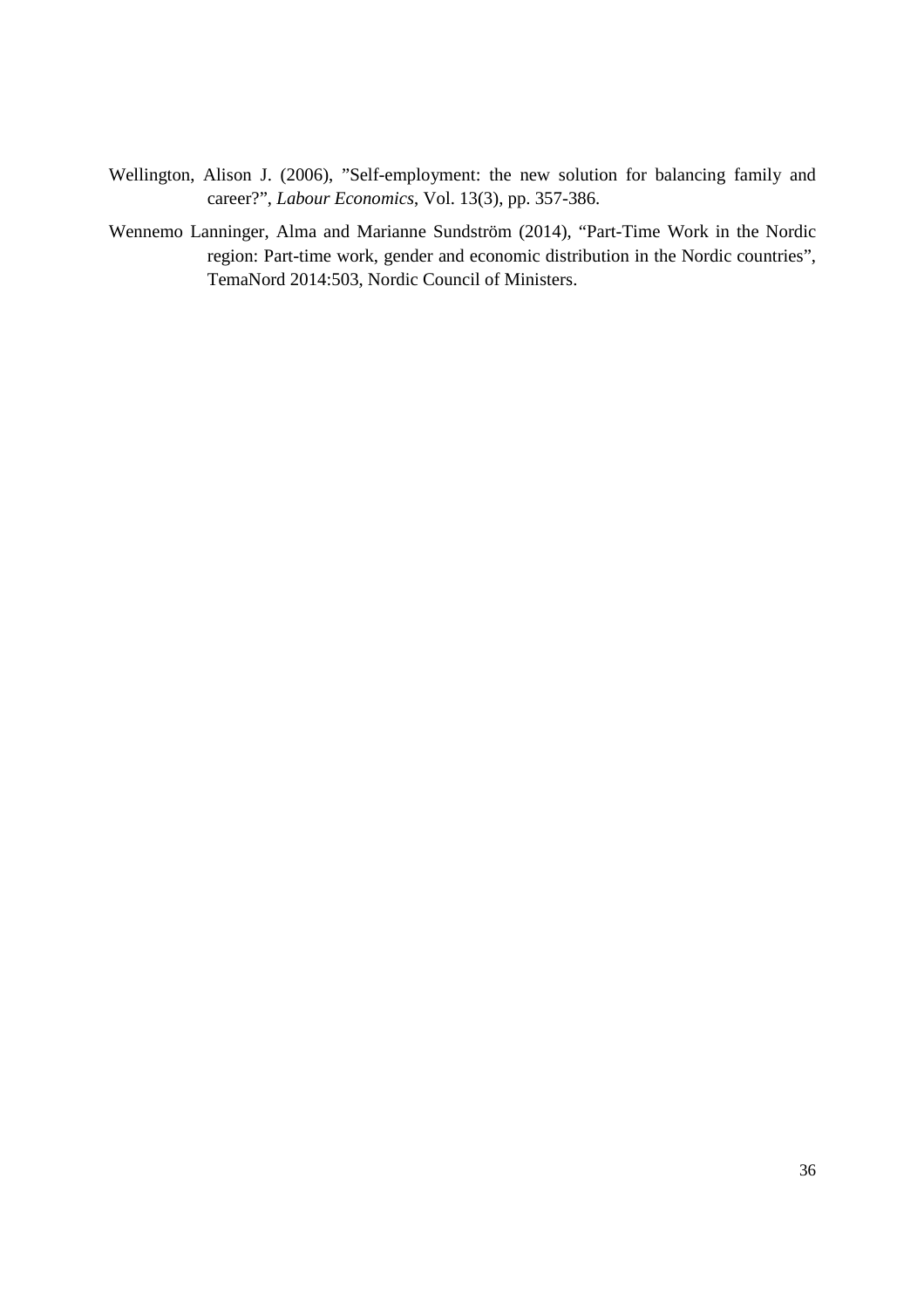- Wellington, Alison J. (2006), "Self-employment: the new solution for balancing family and career?", *Labour Economics*, Vol. 13(3), pp. 357-386.
- Wennemo Lanninger, Alma and Marianne Sundström (2014), "Part-Time Work in the Nordic region: Part-time work, gender and economic distribution in the Nordic countries", TemaNord 2014:503, Nordic Council of Ministers.